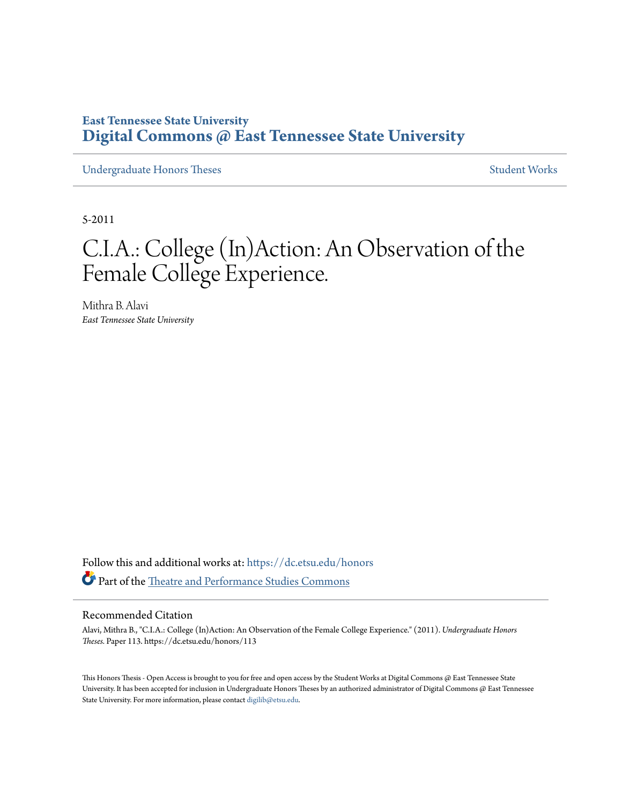## **East Tennessee State University [Digital Commons @ East Tennessee State University](https://dc.etsu.edu?utm_source=dc.etsu.edu%2Fhonors%2F113&utm_medium=PDF&utm_campaign=PDFCoverPages)**

[Undergraduate Honors Theses](https://dc.etsu.edu/honors?utm_source=dc.etsu.edu%2Fhonors%2F113&utm_medium=PDF&utm_campaign=PDFCoverPages) [Student Works](https://dc.etsu.edu/student-works?utm_source=dc.etsu.edu%2Fhonors%2F113&utm_medium=PDF&utm_campaign=PDFCoverPages)

5-2011

# C.I.A.: College (In)Action: An Observation of the Female College Experience.

Mithra B. Alavi *East Tennessee State University*

Follow this and additional works at: [https://dc.etsu.edu/honors](https://dc.etsu.edu/honors?utm_source=dc.etsu.edu%2Fhonors%2F113&utm_medium=PDF&utm_campaign=PDFCoverPages) Part of the [Theatre and Performance Studies Commons](http://network.bepress.com/hgg/discipline/552?utm_source=dc.etsu.edu%2Fhonors%2F113&utm_medium=PDF&utm_campaign=PDFCoverPages)

### Recommended Citation

Alavi, Mithra B., "C.I.A.: College (In)Action: An Observation of the Female College Experience." (2011). *Undergraduate Honors Theses.* Paper 113. https://dc.etsu.edu/honors/113

This Honors Thesis - Open Access is brought to you for free and open access by the Student Works at Digital Commons @ East Tennessee State University. It has been accepted for inclusion in Undergraduate Honors Theses by an authorized administrator of Digital Commons @ East Tennessee State University. For more information, please contact [digilib@etsu.edu.](mailto:digilib@etsu.edu)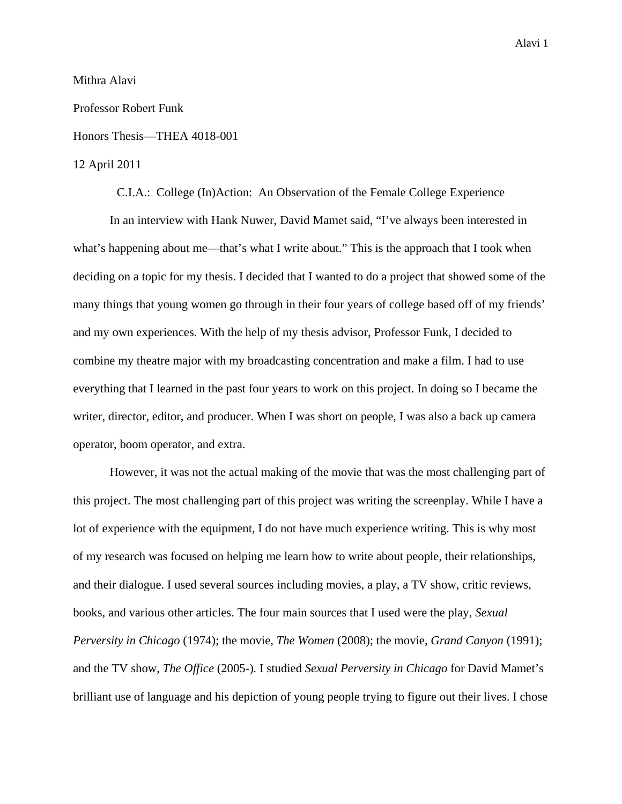## Mithra Alavi

## Professor Robert Funk

### Honors Thesis—THEA 4018-001

## 12 April 2011

C.I.A.: College (In)Action: An Observation of the Female College Experience

 In an interview with Hank Nuwer, David Mamet said, "I've always been interested in what's happening about me—that's what I write about." This is the approach that I took when deciding on a topic for my thesis. I decided that I wanted to do a project that showed some of the many things that young women go through in their four years of college based off of my friends' and my own experiences. With the help of my thesis advisor, Professor Funk, I decided to combine my theatre major with my broadcasting concentration and make a film. I had to use everything that I learned in the past four years to work on this project. In doing so I became the writer, director, editor, and producer. When I was short on people, I was also a back up camera operator, boom operator, and extra.

 However, it was not the actual making of the movie that was the most challenging part of this project. The most challenging part of this project was writing the screenplay. While I have a lot of experience with the equipment, I do not have much experience writing. This is why most of my research was focused on helping me learn how to write about people, their relationships, and their dialogue. I used several sources including movies, a play, a TV show, critic reviews, books, and various other articles. The four main sources that I used were the play, *Sexual Perversity in Chicago* (1974); the movie, *The Women* (2008); the movie, *Grand Canyon* (1991); and the TV show, *The Office* (2005-)*.* I studied *Sexual Perversity in Chicago* for David Mamet's brilliant use of language and his depiction of young people trying to figure out their lives. I chose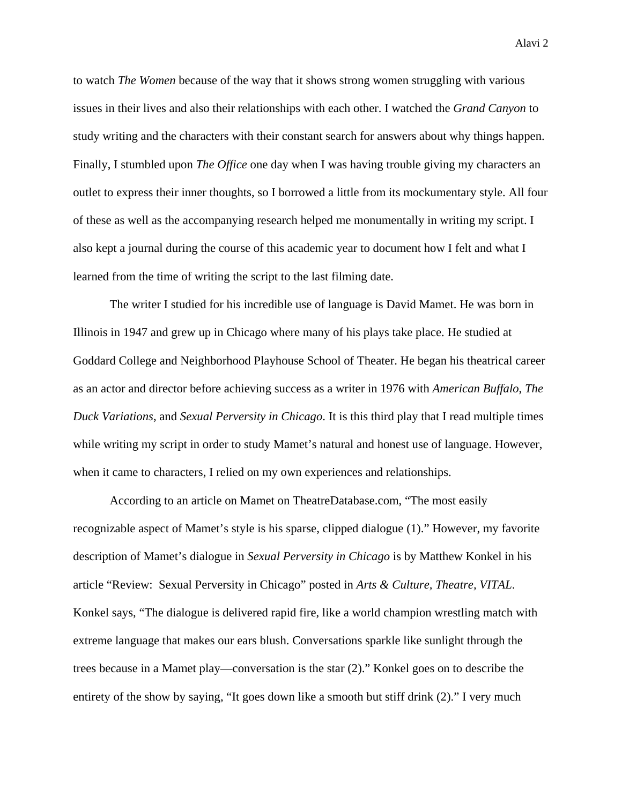to watch *The Women* because of the way that it shows strong women struggling with various issues in their lives and also their relationships with each other. I watched the *Grand Canyon* to study writing and the characters with their constant search for answers about why things happen. Finally, I stumbled upon *The Office* one day when I was having trouble giving my characters an outlet to express their inner thoughts, so I borrowed a little from its mockumentary style. All four of these as well as the accompanying research helped me monumentally in writing my script. I also kept a journal during the course of this academic year to document how I felt and what I learned from the time of writing the script to the last filming date.

 The writer I studied for his incredible use of language is David Mamet. He was born in Illinois in 1947 and grew up in Chicago where many of his plays take place. He studied at Goddard College and Neighborhood Playhouse School of Theater. He began his theatrical career as an actor and director before achieving success as a writer in 1976 with *American Buffalo*, *The Duck Variations*, and *Sexual Perversity in Chicago*. It is this third play that I read multiple times while writing my script in order to study Mamet's natural and honest use of language. However, when it came to characters, I relied on my own experiences and relationships.

 According to an article on Mamet on TheatreDatabase.com, "The most easily recognizable aspect of Mamet's style is his sparse, clipped dialogue (1)." However, my favorite description of Mamet's dialogue in *Sexual Perversity in Chicago* is by Matthew Konkel in his article "Review: Sexual Perversity in Chicago" posted in *Arts & Culture, Theatre, VITAL*. Konkel says, "The dialogue is delivered rapid fire, like a world champion wrestling match with extreme language that makes our ears blush. Conversations sparkle like sunlight through the trees because in a Mamet play—conversation is the star (2)." Konkel goes on to describe the entirety of the show by saying, "It goes down like a smooth but stiff drink (2)." I very much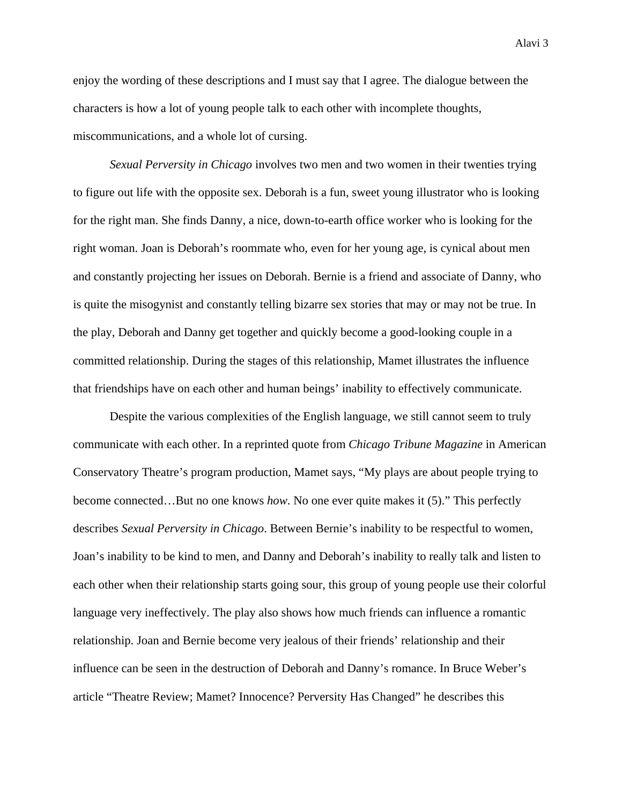enjoy the wording of these descriptions and I must say that I agree. The dialogue between the characters is how a lot of young people talk to each other with incomplete thoughts, miscommunications, and a whole lot of cursing.

*Sexual Perversity in Chicago* involves two men and two women in their twenties trying to figure out life with the opposite sex. Deborah is a fun, sweet young illustrator who is looking for the right man. She finds Danny, a nice, down-to-earth office worker who is looking for the right woman. Joan is Deborah's roommate who, even for her young age, is cynical about men and constantly projecting her issues on Deborah. Bernie is a friend and associate of Danny, who is quite the misogynist and constantly telling bizarre sex stories that may or may not be true. In the play, Deborah and Danny get together and quickly become a good-looking couple in a committed relationship. During the stages of this relationship, Mamet illustrates the influence that friendships have on each other and human beings' inability to effectively communicate.

Despite the various complexities of the English language, we still cannot seem to truly communicate with each other. In a reprinted quote from *Chicago Tribune Magazine* in American Conservatory Theatre's program production, Mamet says, "My plays are about people trying to become connected…But no one knows *how*. No one ever quite makes it (5)." This perfectly describes *Sexual Perversity in Chicago*. Between Bernie's inability to be respectful to women, Joan's inability to be kind to men, and Danny and Deborah's inability to really talk and listen to each other when their relationship starts going sour, this group of young people use their colorful language very ineffectively. The play also shows how much friends can influence a romantic relationship. Joan and Bernie become very jealous of their friends' relationship and their influence can be seen in the destruction of Deborah and Danny's romance. In Bruce Weber's article "Theatre Review; Mamet? Innocence? Perversity Has Changed" he describes this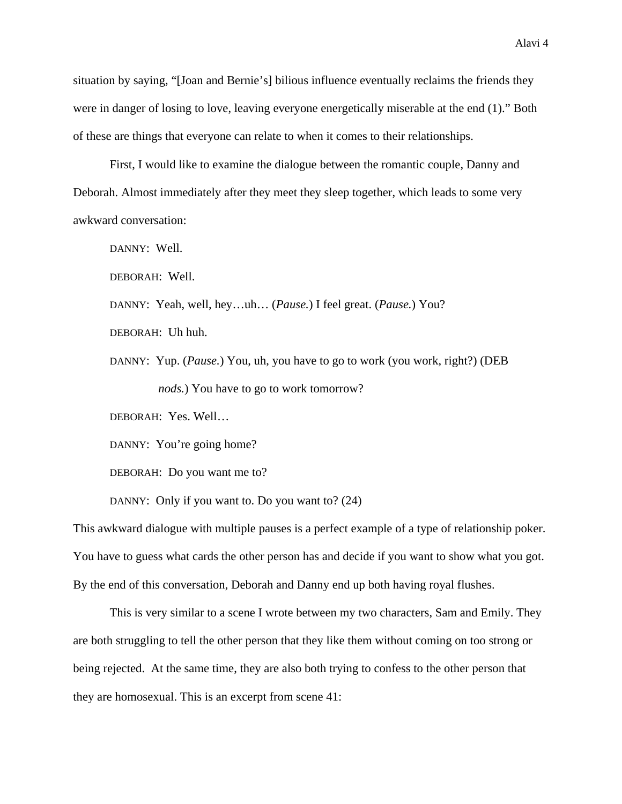situation by saying, "[Joan and Bernie's] bilious influence eventually reclaims the friends they were in danger of losing to love, leaving everyone energetically miserable at the end (1)." Both of these are things that everyone can relate to when it comes to their relationships.

First, I would like to examine the dialogue between the romantic couple, Danny and Deborah. Almost immediately after they meet they sleep together, which leads to some very awkward conversation:

DANNY: Well.

DEBORAH: Well.

DANNY: Yeah, well, hey…uh… (*Pause.*) I feel great. (*Pause.*) You?

DEBORAH: Uh huh.

DANNY: Yup. (*Pause.*) You, uh, you have to go to work (you work, right?) (DEB *nods.*) You have to go to work tomorrow?

DEBORAH: Yes. Well…

DANNY: You're going home?

DEBORAH: Do you want me to?

DANNY: Only if you want to. Do you want to? (24)

This awkward dialogue with multiple pauses is a perfect example of a type of relationship poker. You have to guess what cards the other person has and decide if you want to show what you got. By the end of this conversation, Deborah and Danny end up both having royal flushes.

 This is very similar to a scene I wrote between my two characters, Sam and Emily. They are both struggling to tell the other person that they like them without coming on too strong or being rejected. At the same time, they are also both trying to confess to the other person that they are homosexual. This is an excerpt from scene 41: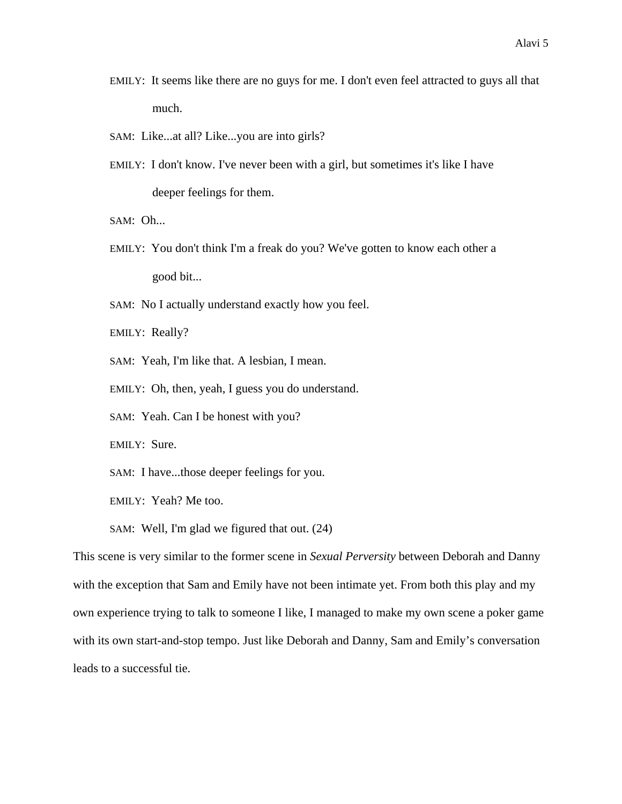- EMILY: It seems like there are no guys for me. I don't even feel attracted to guys all that much.
- SAM: Like...at all? Like...you are into girls?
- EMILY: I don't know. I've never been with a girl, but sometimes it's like I have deeper feelings for them.

SAM: Oh...

EMILY: You don't think I'm a freak do you? We've gotten to know each other a good bit...

SAM: No I actually understand exactly how you feel.

EMILY: Really?

SAM: Yeah, I'm like that. A lesbian, I mean.

EMILY: Oh, then, yeah, I guess you do understand.

SAM: Yeah. Can I be honest with you?

EMILY: Sure.

SAM: I have...those deeper feelings for you.

EMILY: Yeah? Me too.

SAM: Well, I'm glad we figured that out. (24)

This scene is very similar to the former scene in *Sexual Perversity* between Deborah and Danny with the exception that Sam and Emily have not been intimate yet. From both this play and my own experience trying to talk to someone I like, I managed to make my own scene a poker game with its own start-and-stop tempo. Just like Deborah and Danny, Sam and Emily's conversation leads to a successful tie.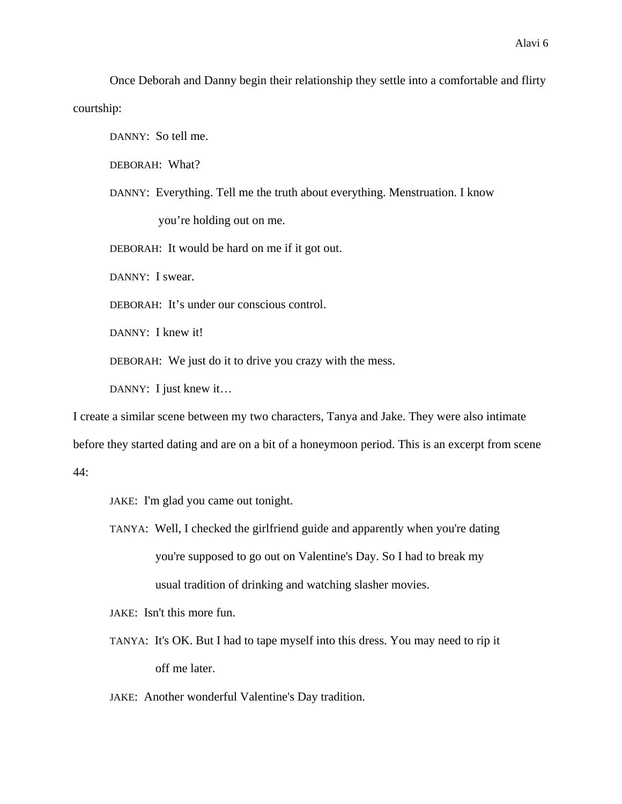Once Deborah and Danny begin their relationship they settle into a comfortable and flirty courtship:

DANNY: So tell me.

DEBORAH: What?

DANNY: Everything. Tell me the truth about everything. Menstruation. I know

you're holding out on me.

DEBORAH: It would be hard on me if it got out.

DANNY: I swear.

DEBORAH: It's under our conscious control.

DANNY: I knew it!

DEBORAH: We just do it to drive you crazy with the mess.

DANNY: I just knew it...

I create a similar scene between my two characters, Tanya and Jake. They were also intimate

before they started dating and are on a bit of a honeymoon period. This is an excerpt from scene

44:

JAKE: I'm glad you came out tonight.

TANYA: Well, I checked the girlfriend guide and apparently when you're dating you're supposed to go out on Valentine's Day. So I had to break my usual tradition of drinking and watching slasher movies.

JAKE: Isn't this more fun.

TANYA: It's OK. But I had to tape myself into this dress. You may need to rip it off me later.

JAKE: Another wonderful Valentine's Day tradition.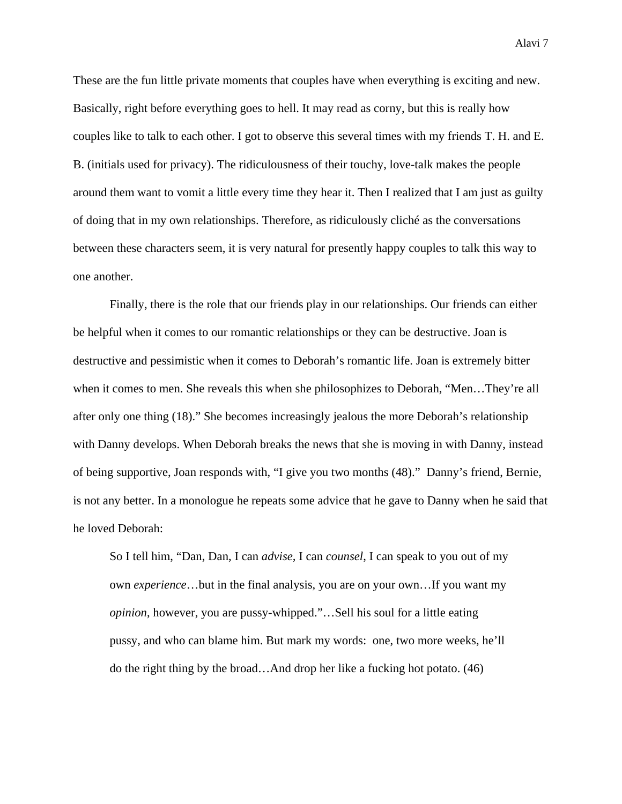These are the fun little private moments that couples have when everything is exciting and new. Basically, right before everything goes to hell. It may read as corny, but this is really how couples like to talk to each other. I got to observe this several times with my friends T. H. and E. B. (initials used for privacy). The ridiculousness of their touchy, love-talk makes the people around them want to vomit a little every time they hear it. Then I realized that I am just as guilty of doing that in my own relationships. Therefore, as ridiculously cliché as the conversations between these characters seem, it is very natural for presently happy couples to talk this way to one another.

 Finally, there is the role that our friends play in our relationships. Our friends can either be helpful when it comes to our romantic relationships or they can be destructive. Joan is destructive and pessimistic when it comes to Deborah's romantic life. Joan is extremely bitter when it comes to men. She reveals this when she philosophizes to Deborah, "Men…They're all after only one thing (18)." She becomes increasingly jealous the more Deborah's relationship with Danny develops. When Deborah breaks the news that she is moving in with Danny, instead of being supportive, Joan responds with, "I give you two months (48)." Danny's friend, Bernie, is not any better. In a monologue he repeats some advice that he gave to Danny when he said that he loved Deborah:

So I tell him, "Dan, Dan, I can *advise,* I can *counsel*, I can speak to you out of my own *experience*…but in the final analysis, you are on your own…If you want my *opinion*, however, you are pussy-whipped."…Sell his soul for a little eating pussy, and who can blame him. But mark my words: one, two more weeks, he'll do the right thing by the broad…And drop her like a fucking hot potato. (46)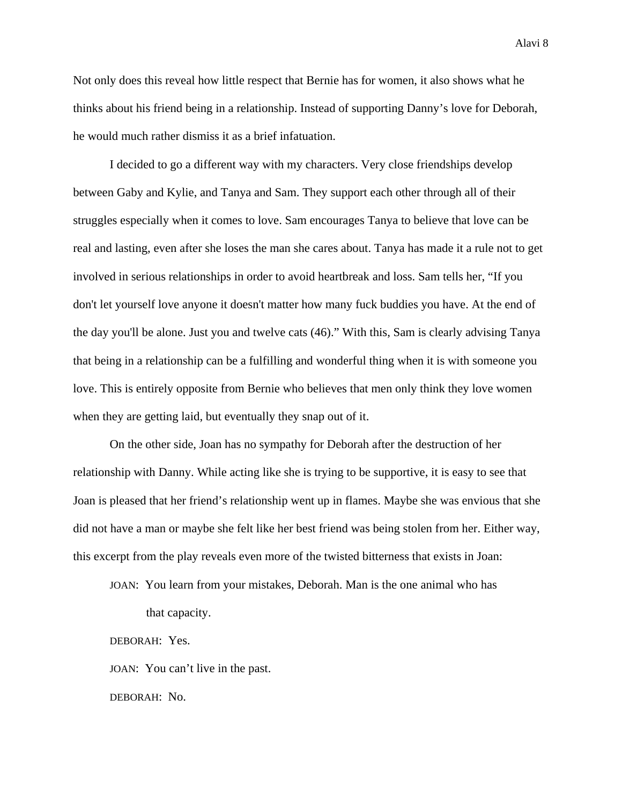Not only does this reveal how little respect that Bernie has for women, it also shows what he thinks about his friend being in a relationship. Instead of supporting Danny's love for Deborah, he would much rather dismiss it as a brief infatuation.

I decided to go a different way with my characters. Very close friendships develop between Gaby and Kylie, and Tanya and Sam. They support each other through all of their struggles especially when it comes to love. Sam encourages Tanya to believe that love can be real and lasting, even after she loses the man she cares about. Tanya has made it a rule not to get involved in serious relationships in order to avoid heartbreak and loss. Sam tells her, "If you don't let yourself love anyone it doesn't matter how many fuck buddies you have. At the end of the day you'll be alone. Just you and twelve cats (46)." With this, Sam is clearly advising Tanya that being in a relationship can be a fulfilling and wonderful thing when it is with someone you love. This is entirely opposite from Bernie who believes that men only think they love women when they are getting laid, but eventually they snap out of it.

 On the other side, Joan has no sympathy for Deborah after the destruction of her relationship with Danny. While acting like she is trying to be supportive, it is easy to see that Joan is pleased that her friend's relationship went up in flames. Maybe she was envious that she did not have a man or maybe she felt like her best friend was being stolen from her. Either way, this excerpt from the play reveals even more of the twisted bitterness that exists in Joan:

JOAN: You learn from your mistakes, Deborah. Man is the one animal who has that capacity.

DEBORAH: Yes.

JOAN: You can't live in the past.

DEBORAH: No.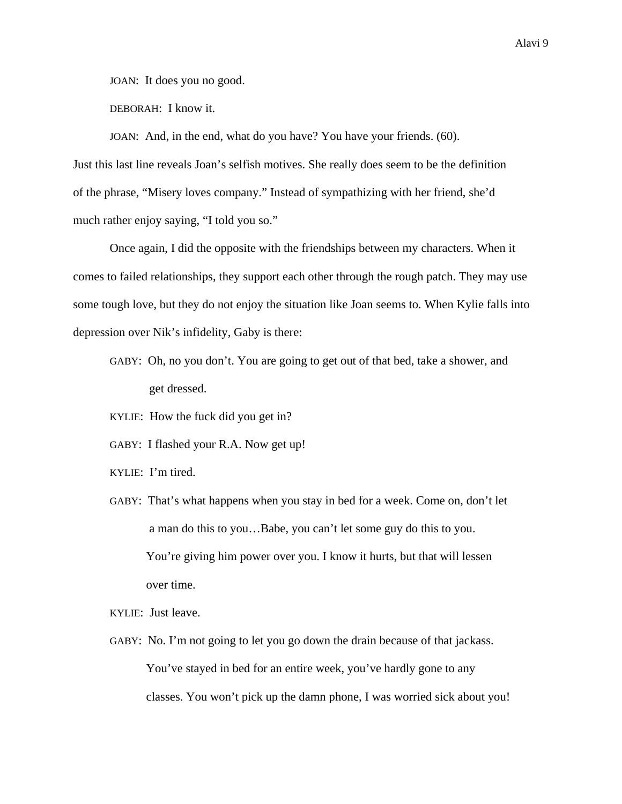JOAN: It does you no good.

DEBORAH: I know it.

JOAN: And, in the end, what do you have? You have your friends. (60).

Just this last line reveals Joan's selfish motives. She really does seem to be the definition of the phrase, "Misery loves company." Instead of sympathizing with her friend, she'd much rather enjoy saying, "I told you so."

 Once again, I did the opposite with the friendships between my characters. When it comes to failed relationships, they support each other through the rough patch. They may use some tough love, but they do not enjoy the situation like Joan seems to. When Kylie falls into depression over Nik's infidelity, Gaby is there:

- GABY: Oh, no you don't. You are going to get out of that bed, take a shower, and get dressed.
- KYLIE: How the fuck did you get in?
- GABY: I flashed your R.A. Now get up!
- KYLIE: I'm tired.
- GABY: That's what happens when you stay in bed for a week. Come on, don't let a man do this to you…Babe, you can't let some guy do this to you. You're giving him power over you. I know it hurts, but that will lessen over time.

KYLIE: Just leave.

GABY: No. I'm not going to let you go down the drain because of that jackass. You've stayed in bed for an entire week, you've hardly gone to any classes. You won't pick up the damn phone, I was worried sick about you!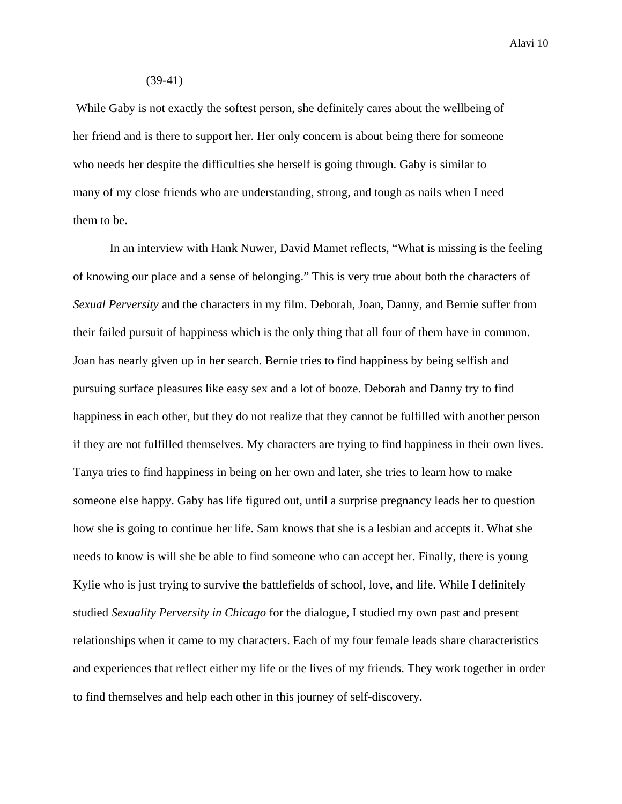#### (39-41)

 While Gaby is not exactly the softest person, she definitely cares about the wellbeing of her friend and is there to support her. Her only concern is about being there for someone who needs her despite the difficulties she herself is going through. Gaby is similar to many of my close friends who are understanding, strong, and tough as nails when I need them to be.

 In an interview with Hank Nuwer, David Mamet reflects, "What is missing is the feeling of knowing our place and a sense of belonging." This is very true about both the characters of *Sexual Perversity* and the characters in my film. Deborah, Joan, Danny, and Bernie suffer from their failed pursuit of happiness which is the only thing that all four of them have in common. Joan has nearly given up in her search. Bernie tries to find happiness by being selfish and pursuing surface pleasures like easy sex and a lot of booze. Deborah and Danny try to find happiness in each other, but they do not realize that they cannot be fulfilled with another person if they are not fulfilled themselves. My characters are trying to find happiness in their own lives. Tanya tries to find happiness in being on her own and later, she tries to learn how to make someone else happy. Gaby has life figured out, until a surprise pregnancy leads her to question how she is going to continue her life. Sam knows that she is a lesbian and accepts it. What she needs to know is will she be able to find someone who can accept her. Finally, there is young Kylie who is just trying to survive the battlefields of school, love, and life. While I definitely studied *Sexuality Perversity in Chicago* for the dialogue, I studied my own past and present relationships when it came to my characters. Each of my four female leads share characteristics and experiences that reflect either my life or the lives of my friends. They work together in order to find themselves and help each other in this journey of self-discovery.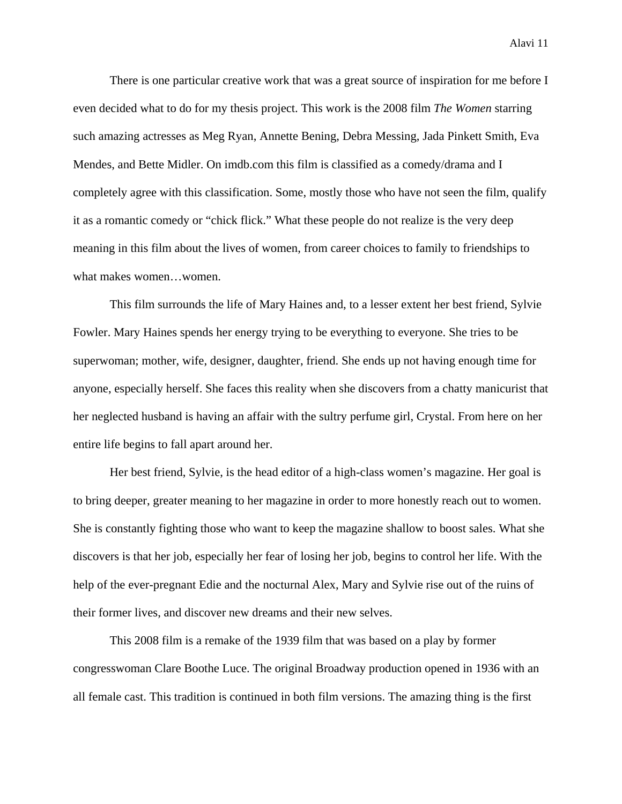There is one particular creative work that was a great source of inspiration for me before I even decided what to do for my thesis project. This work is the 2008 film *The Women* starring such amazing actresses as Meg Ryan, Annette Bening, Debra Messing, Jada Pinkett Smith, Eva Mendes, and Bette Midler. On imdb.com this film is classified as a comedy/drama and I completely agree with this classification. Some, mostly those who have not seen the film, qualify it as a romantic comedy or "chick flick." What these people do not realize is the very deep meaning in this film about the lives of women, from career choices to family to friendships to what makes women…women.

 This film surrounds the life of Mary Haines and, to a lesser extent her best friend, Sylvie Fowler. Mary Haines spends her energy trying to be everything to everyone. She tries to be superwoman; mother, wife, designer, daughter, friend. She ends up not having enough time for anyone, especially herself. She faces this reality when she discovers from a chatty manicurist that her neglected husband is having an affair with the sultry perfume girl, Crystal. From here on her entire life begins to fall apart around her.

 Her best friend, Sylvie, is the head editor of a high-class women's magazine. Her goal is to bring deeper, greater meaning to her magazine in order to more honestly reach out to women. She is constantly fighting those who want to keep the magazine shallow to boost sales. What she discovers is that her job, especially her fear of losing her job, begins to control her life. With the help of the ever-pregnant Edie and the nocturnal Alex, Mary and Sylvie rise out of the ruins of their former lives, and discover new dreams and their new selves.

 This 2008 film is a remake of the 1939 film that was based on a play by former congresswoman Clare Boothe Luce. The original Broadway production opened in 1936 with an all female cast. This tradition is continued in both film versions. The amazing thing is the first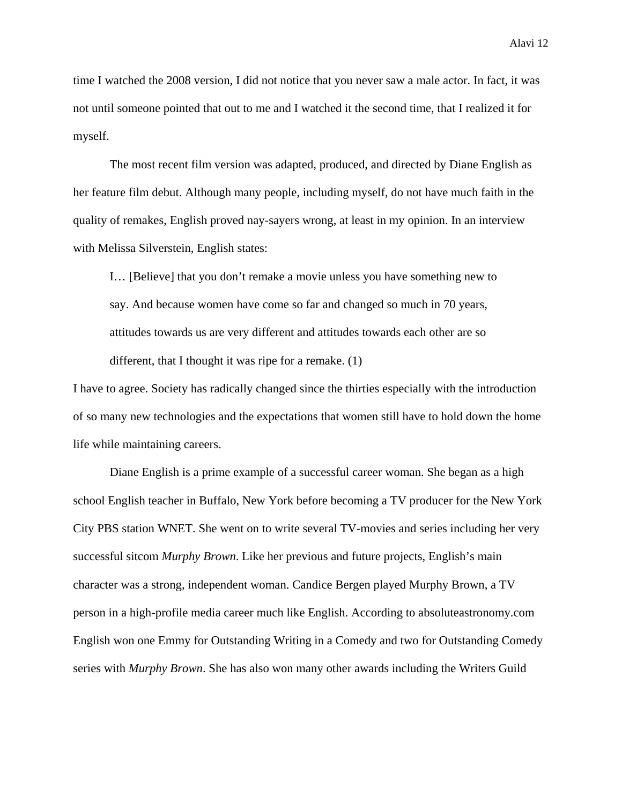time I watched the 2008 version, I did not notice that you never saw a male actor. In fact, it was not until someone pointed that out to me and I watched it the second time, that I realized it for myself.

 The most recent film version was adapted, produced, and directed by Diane English as her feature film debut. Although many people, including myself, do not have much faith in the quality of remakes, English proved nay-sayers wrong, at least in my opinion. In an interview with Melissa Silverstein, English states:

I… [Believe] that you don't remake a movie unless you have something new to say. And because women have come so far and changed so much in 70 years, attitudes towards us are very different and attitudes towards each other are so different, that I thought it was ripe for a remake. (1)

I have to agree. Society has radically changed since the thirties especially with the introduction of so many new technologies and the expectations that women still have to hold down the home life while maintaining careers.

 Diane English is a prime example of a successful career woman. She began as a high school English teacher in Buffalo, New York before becoming a TV producer for the New York City PBS station WNET. She went on to write several TV-movies and series including her very successful sitcom *Murphy Brown*. Like her previous and future projects, English's main character was a strong, independent woman. Candice Bergen played Murphy Brown, a TV person in a high-profile media career much like English. According to absoluteastronomy.com English won one Emmy for Outstanding Writing in a Comedy and two for Outstanding Comedy series with *Murphy Brown*. She has also won many other awards including the Writers Guild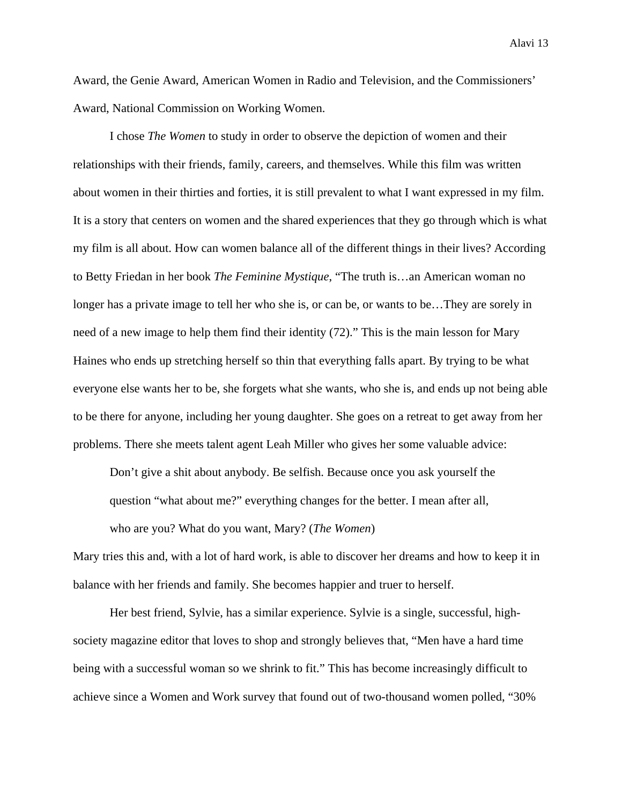Award, the Genie Award, American Women in Radio and Television, and the Commissioners' Award, National Commission on Working Women.

 I chose *The Women* to study in order to observe the depiction of women and their relationships with their friends, family, careers, and themselves. While this film was written about women in their thirties and forties, it is still prevalent to what I want expressed in my film. It is a story that centers on women and the shared experiences that they go through which is what my film is all about. How can women balance all of the different things in their lives? According to Betty Friedan in her book *The Feminine Mystique*, "The truth is…an American woman no longer has a private image to tell her who she is, or can be, or wants to be…They are sorely in need of a new image to help them find their identity (72)." This is the main lesson for Mary Haines who ends up stretching herself so thin that everything falls apart. By trying to be what everyone else wants her to be, she forgets what she wants, who she is, and ends up not being able to be there for anyone, including her young daughter. She goes on a retreat to get away from her problems. There she meets talent agent Leah Miller who gives her some valuable advice:

Don't give a shit about anybody. Be selfish. Because once you ask yourself the question "what about me?" everything changes for the better. I mean after all, who are you? What do you want, Mary? (*The Women*)

Mary tries this and, with a lot of hard work, is able to discover her dreams and how to keep it in balance with her friends and family. She becomes happier and truer to herself.

 Her best friend, Sylvie, has a similar experience. Sylvie is a single, successful, highsociety magazine editor that loves to shop and strongly believes that, "Men have a hard time being with a successful woman so we shrink to fit." This has become increasingly difficult to achieve since a Women and Work survey that found out of two-thousand women polled, "30%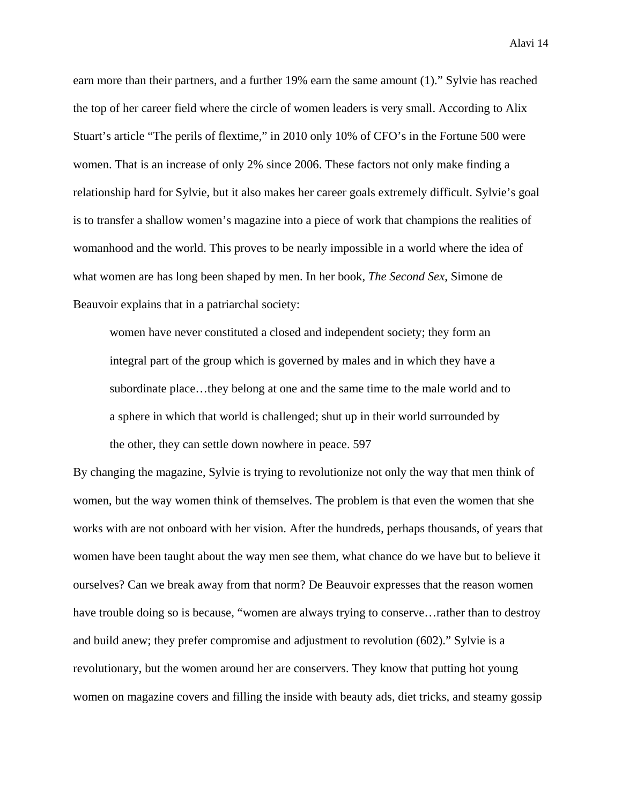earn more than their partners, and a further 19% earn the same amount (1)." Sylvie has reached the top of her career field where the circle of women leaders is very small. According to Alix Stuart's article "The perils of flextime," in 2010 only 10% of CFO's in the Fortune 500 were women. That is an increase of only 2% since 2006. These factors not only make finding a relationship hard for Sylvie, but it also makes her career goals extremely difficult. Sylvie's goal is to transfer a shallow women's magazine into a piece of work that champions the realities of womanhood and the world. This proves to be nearly impossible in a world where the idea of what women are has long been shaped by men. In her book, *The Second Sex*, Simone de Beauvoir explains that in a patriarchal society:

women have never constituted a closed and independent society; they form an integral part of the group which is governed by males and in which they have a subordinate place…they belong at one and the same time to the male world and to a sphere in which that world is challenged; shut up in their world surrounded by the other, they can settle down nowhere in peace. 597

By changing the magazine, Sylvie is trying to revolutionize not only the way that men think of women, but the way women think of themselves. The problem is that even the women that she works with are not onboard with her vision. After the hundreds, perhaps thousands, of years that women have been taught about the way men see them, what chance do we have but to believe it ourselves? Can we break away from that norm? De Beauvoir expresses that the reason women have trouble doing so is because, "women are always trying to conserve... rather than to destroy and build anew; they prefer compromise and adjustment to revolution (602)." Sylvie is a revolutionary, but the women around her are conservers. They know that putting hot young women on magazine covers and filling the inside with beauty ads, diet tricks, and steamy gossip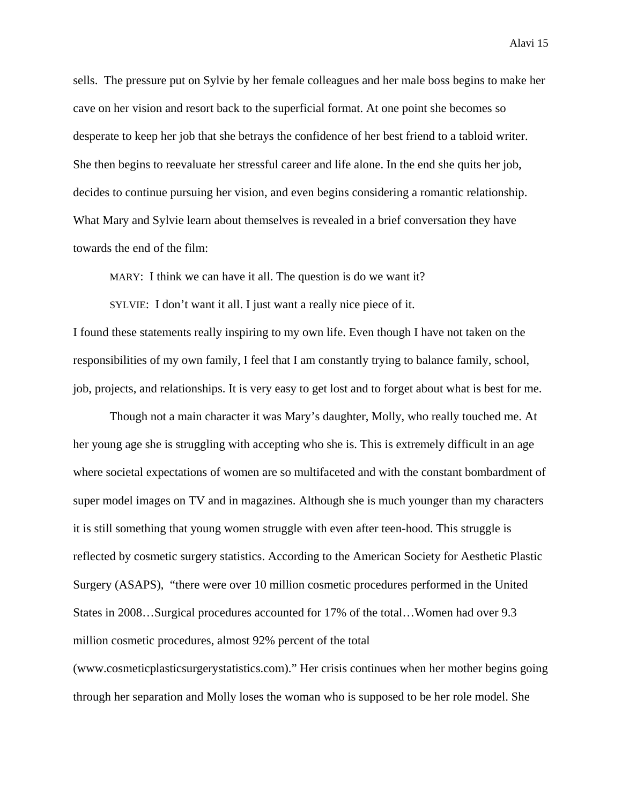sells. The pressure put on Sylvie by her female colleagues and her male boss begins to make her cave on her vision and resort back to the superficial format. At one point she becomes so desperate to keep her job that she betrays the confidence of her best friend to a tabloid writer. She then begins to reevaluate her stressful career and life alone. In the end she quits her job, decides to continue pursuing her vision, and even begins considering a romantic relationship. What Mary and Sylvie learn about themselves is revealed in a brief conversation they have

towards the end of the film:

MARY: I think we can have it all. The question is do we want it?

SYLVIE: I don't want it all. I just want a really nice piece of it. I found these statements really inspiring to my own life. Even though I have not taken on the responsibilities of my own family, I feel that I am constantly trying to balance family, school, job, projects, and relationships. It is very easy to get lost and to forget about what is best for me.

 Though not a main character it was Mary's daughter, Molly, who really touched me. At her young age she is struggling with accepting who she is. This is extremely difficult in an age where societal expectations of women are so multifaceted and with the constant bombardment of super model images on TV and in magazines. Although she is much younger than my characters it is still something that young women struggle with even after teen-hood. This struggle is reflected by cosmetic surgery statistics. According to the American Society for Aesthetic Plastic Surgery (ASAPS), "there were over 10 million cosmetic procedures performed in the United States in 2008…Surgical procedures accounted for 17% of the total…Women had over 9.3 million cosmetic procedures, almost 92% percent of the total (www.cosmeticplasticsurgerystatistics.com)." Her crisis continues when her mother begins going through her separation and Molly loses the woman who is supposed to be her role model. She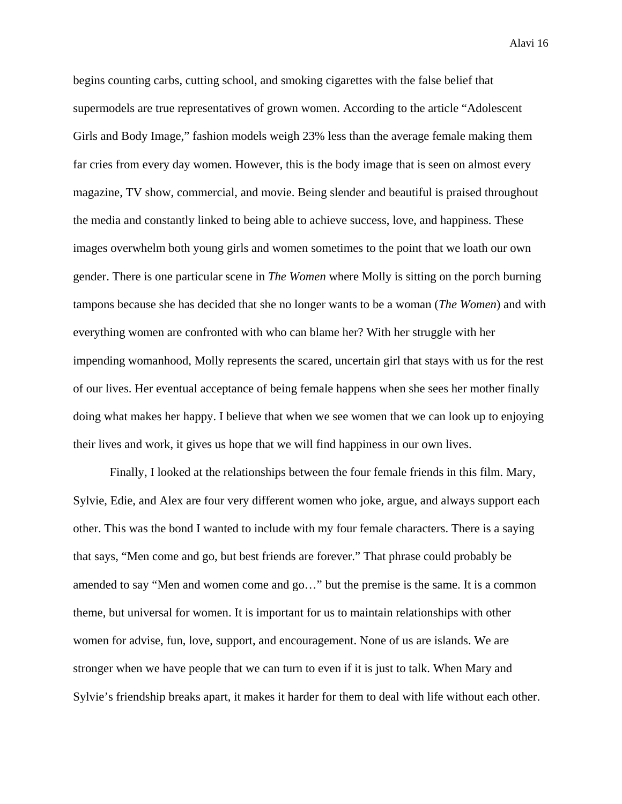begins counting carbs, cutting school, and smoking cigarettes with the false belief that supermodels are true representatives of grown women. According to the article "Adolescent Girls and Body Image," fashion models weigh 23% less than the average female making them far cries from every day women. However, this is the body image that is seen on almost every magazine, TV show, commercial, and movie. Being slender and beautiful is praised throughout the media and constantly linked to being able to achieve success, love, and happiness. These images overwhelm both young girls and women sometimes to the point that we loath our own gender. There is one particular scene in *The Women* where Molly is sitting on the porch burning tampons because she has decided that she no longer wants to be a woman (*The Women*) and with everything women are confronted with who can blame her? With her struggle with her impending womanhood, Molly represents the scared, uncertain girl that stays with us for the rest of our lives. Her eventual acceptance of being female happens when she sees her mother finally doing what makes her happy. I believe that when we see women that we can look up to enjoying their lives and work, it gives us hope that we will find happiness in our own lives.

Finally, I looked at the relationships between the four female friends in this film. Mary, Sylvie, Edie, and Alex are four very different women who joke, argue, and always support each other. This was the bond I wanted to include with my four female characters. There is a saying that says, "Men come and go, but best friends are forever." That phrase could probably be amended to say "Men and women come and go…" but the premise is the same. It is a common theme, but universal for women. It is important for us to maintain relationships with other women for advise, fun, love, support, and encouragement. None of us are islands. We are stronger when we have people that we can turn to even if it is just to talk. When Mary and Sylvie's friendship breaks apart, it makes it harder for them to deal with life without each other.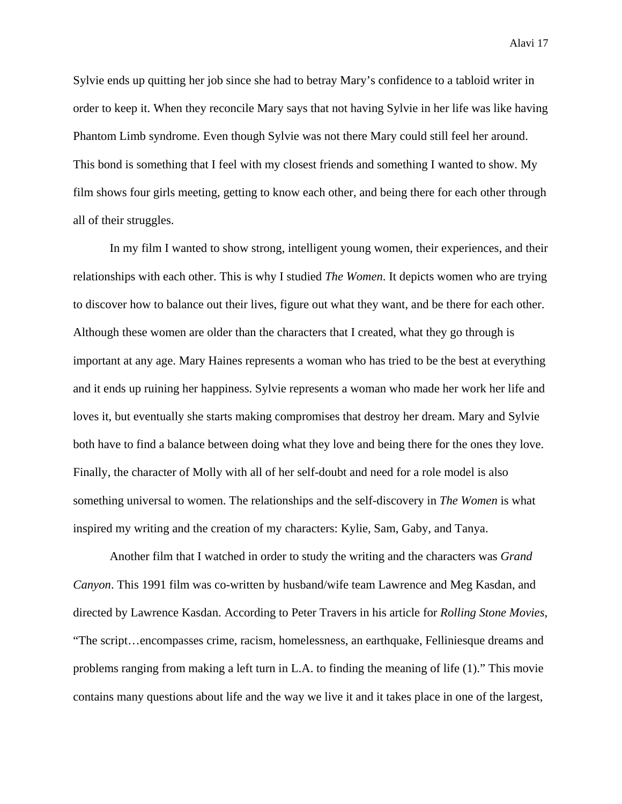Sylvie ends up quitting her job since she had to betray Mary's confidence to a tabloid writer in order to keep it. When they reconcile Mary says that not having Sylvie in her life was like having Phantom Limb syndrome. Even though Sylvie was not there Mary could still feel her around. This bond is something that I feel with my closest friends and something I wanted to show. My film shows four girls meeting, getting to know each other, and being there for each other through all of their struggles.

In my film I wanted to show strong, intelligent young women, their experiences, and their relationships with each other. This is why I studied *The Women*. It depicts women who are trying to discover how to balance out their lives, figure out what they want, and be there for each other. Although these women are older than the characters that I created, what they go through is important at any age. Mary Haines represents a woman who has tried to be the best at everything and it ends up ruining her happiness. Sylvie represents a woman who made her work her life and loves it, but eventually she starts making compromises that destroy her dream. Mary and Sylvie both have to find a balance between doing what they love and being there for the ones they love. Finally, the character of Molly with all of her self-doubt and need for a role model is also something universal to women. The relationships and the self-discovery in *The Women* is what inspired my writing and the creation of my characters: Kylie, Sam, Gaby, and Tanya.

 Another film that I watched in order to study the writing and the characters was *Grand Canyon*. This 1991 film was co-written by husband/wife team Lawrence and Meg Kasdan, and directed by Lawrence Kasdan. According to Peter Travers in his article for *Rolling Stone Movies*, "The script…encompasses crime, racism, homelessness, an earthquake, Felliniesque dreams and problems ranging from making a left turn in L.A. to finding the meaning of life (1)." This movie contains many questions about life and the way we live it and it takes place in one of the largest,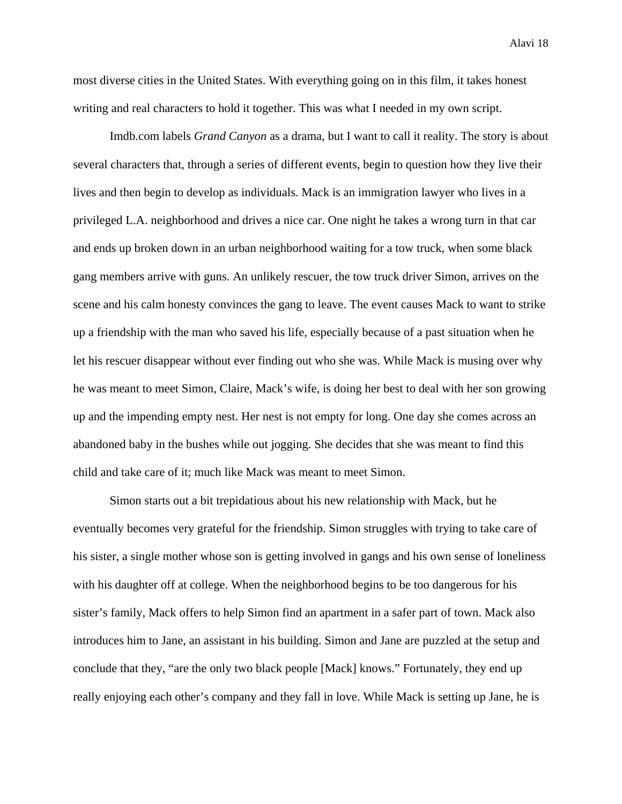most diverse cities in the United States. With everything going on in this film, it takes honest writing and real characters to hold it together. This was what I needed in my own script.

 Imdb.com labels *Grand Canyon* as a drama, but I want to call it reality. The story is about several characters that, through a series of different events, begin to question how they live their lives and then begin to develop as individuals. Mack is an immigration lawyer who lives in a privileged L.A. neighborhood and drives a nice car. One night he takes a wrong turn in that car and ends up broken down in an urban neighborhood waiting for a tow truck, when some black gang members arrive with guns. An unlikely rescuer, the tow truck driver Simon, arrives on the scene and his calm honesty convinces the gang to leave. The event causes Mack to want to strike up a friendship with the man who saved his life, especially because of a past situation when he let his rescuer disappear without ever finding out who she was. While Mack is musing over why he was meant to meet Simon, Claire, Mack's wife, is doing her best to deal with her son growing up and the impending empty nest. Her nest is not empty for long. One day she comes across an abandoned baby in the bushes while out jogging. She decides that she was meant to find this child and take care of it; much like Mack was meant to meet Simon.

Simon starts out a bit trepidatious about his new relationship with Mack, but he eventually becomes very grateful for the friendship. Simon struggles with trying to take care of his sister, a single mother whose son is getting involved in gangs and his own sense of loneliness with his daughter off at college. When the neighborhood begins to be too dangerous for his sister's family, Mack offers to help Simon find an apartment in a safer part of town. Mack also introduces him to Jane, an assistant in his building. Simon and Jane are puzzled at the setup and conclude that they, "are the only two black people [Mack] knows." Fortunately, they end up really enjoying each other's company and they fall in love. While Mack is setting up Jane, he is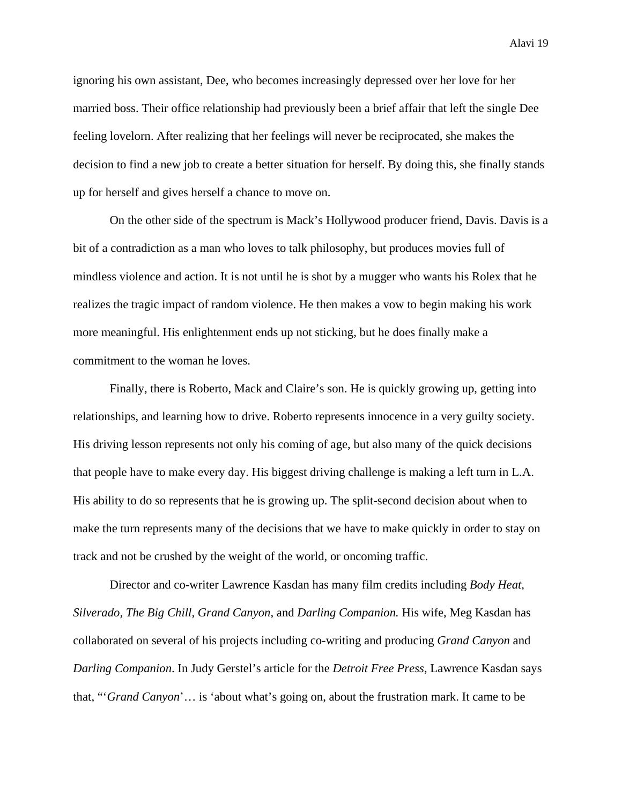ignoring his own assistant, Dee, who becomes increasingly depressed over her love for her married boss. Their office relationship had previously been a brief affair that left the single Dee feeling lovelorn. After realizing that her feelings will never be reciprocated, she makes the decision to find a new job to create a better situation for herself. By doing this, she finally stands up for herself and gives herself a chance to move on.

On the other side of the spectrum is Mack's Hollywood producer friend, Davis. Davis is a bit of a contradiction as a man who loves to talk philosophy, but produces movies full of mindless violence and action. It is not until he is shot by a mugger who wants his Rolex that he realizes the tragic impact of random violence. He then makes a vow to begin making his work more meaningful. His enlightenment ends up not sticking, but he does finally make a commitment to the woman he loves.

Finally, there is Roberto, Mack and Claire's son. He is quickly growing up, getting into relationships, and learning how to drive. Roberto represents innocence in a very guilty society. His driving lesson represents not only his coming of age, but also many of the quick decisions that people have to make every day. His biggest driving challenge is making a left turn in L.A. His ability to do so represents that he is growing up. The split-second decision about when to make the turn represents many of the decisions that we have to make quickly in order to stay on track and not be crushed by the weight of the world, or oncoming traffic.

Director and co-writer Lawrence Kasdan has many film credits including *Body Heat, Silverado, The Big Chill, Grand Canyon,* and *Darling Companion.* His wife, Meg Kasdan has collaborated on several of his projects including co-writing and producing *Grand Canyon* and *Darling Companion*. In Judy Gerstel's article for the *Detroit Free Press*, Lawrence Kasdan says that, "'*Grand Canyon*'… is 'about what's going on, about the frustration mark. It came to be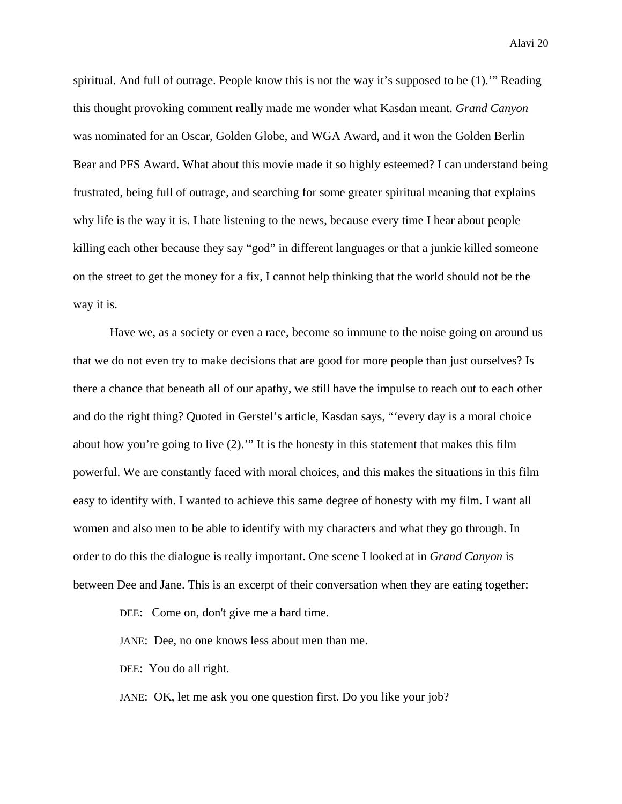spiritual. And full of outrage. People know this is not the way it's supposed to be (1).'" Reading this thought provoking comment really made me wonder what Kasdan meant. *Grand Canyon*  was nominated for an Oscar, Golden Globe, and WGA Award, and it won the Golden Berlin Bear and PFS Award. What about this movie made it so highly esteemed? I can understand being frustrated, being full of outrage, and searching for some greater spiritual meaning that explains why life is the way it is. I hate listening to the news, because every time I hear about people killing each other because they say "god" in different languages or that a junkie killed someone on the street to get the money for a fix, I cannot help thinking that the world should not be the way it is.

Have we, as a society or even a race, become so immune to the noise going on around us that we do not even try to make decisions that are good for more people than just ourselves? Is there a chance that beneath all of our apathy, we still have the impulse to reach out to each other and do the right thing? Quoted in Gerstel's article, Kasdan says, "'every day is a moral choice about how you're going to live (2).'" It is the honesty in this statement that makes this film powerful. We are constantly faced with moral choices, and this makes the situations in this film easy to identify with. I wanted to achieve this same degree of honesty with my film. I want all women and also men to be able to identify with my characters and what they go through. In order to do this the dialogue is really important. One scene I looked at in *Grand Canyon* is between Dee and Jane. This is an excerpt of their conversation when they are eating together:

DEE: Come on, don't give me a hard time.

JANE: Dee, no one knows less about men than me.

DEE: You do all right.

JANE: OK, let me ask you one question first. Do you like your job?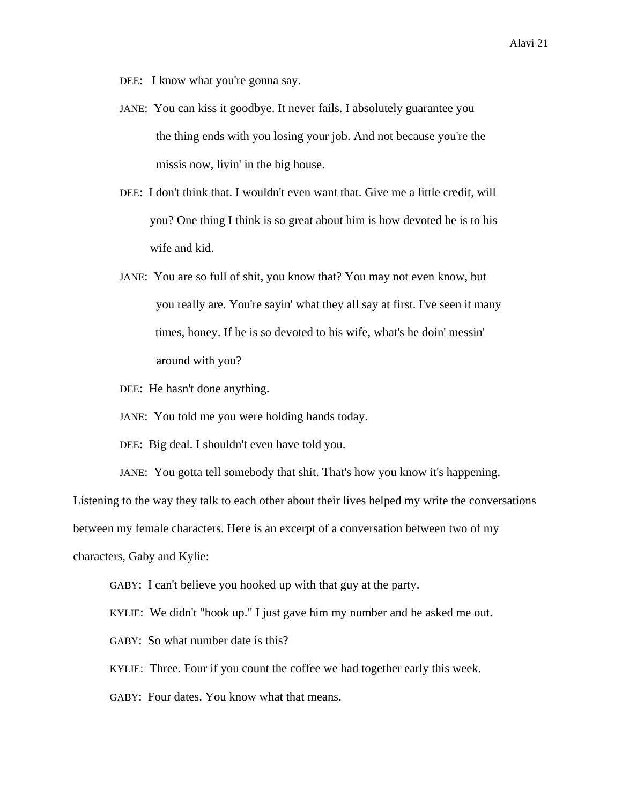- DEE: I know what you're gonna say.
- JANE: You can kiss it goodbye. It never fails. I absolutely guarantee you the thing ends with you losing your job. And not because you're the missis now, livin' in the big house.
- DEE: I don't think that. I wouldn't even want that. Give me a little credit, will you? One thing I think is so great about him is how devoted he is to his wife and kid.
- JANE: You are so full of shit, you know that? You may not even know, but you really are. You're sayin' what they all say at first. I've seen it many times, honey. If he is so devoted to his wife, what's he doin' messin' around with you?
- DEE: He hasn't done anything.
- JANE: You told me you were holding hands today.
- DEE: Big deal. I shouldn't even have told you.
- JANE: You gotta tell somebody that shit. That's how you know it's happening.

Listening to the way they talk to each other about their lives helped my write the conversations

between my female characters. Here is an excerpt of a conversation between two of my

characters, Gaby and Kylie:

- GABY: I can't believe you hooked up with that guy at the party.
- KYLIE: We didn't "hook up." I just gave him my number and he asked me out.
- GABY: So what number date is this?
- KYLIE: Three. Four if you count the coffee we had together early this week.
- GABY: Four dates. You know what that means.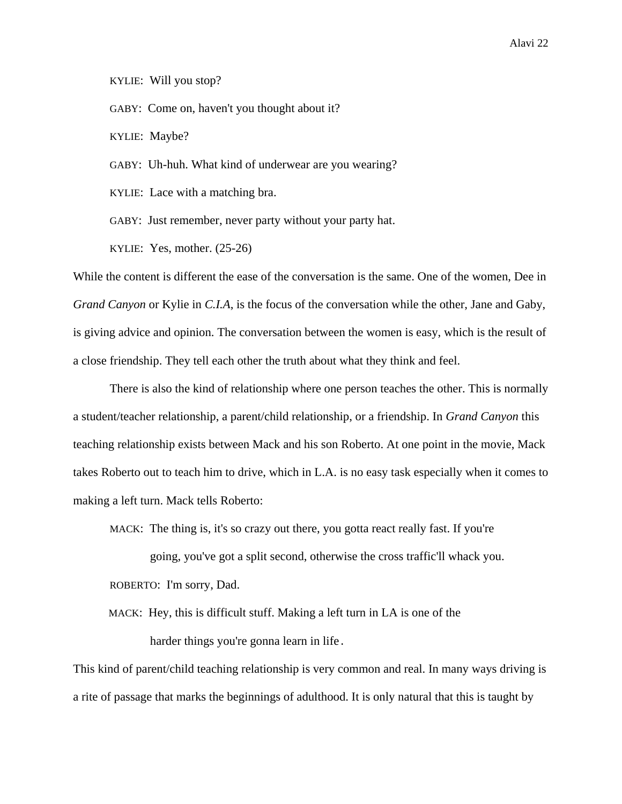KYLIE: Will you stop?

GABY: Come on, haven't you thought about it?

KYLIE: Maybe?

GABY: Uh-huh. What kind of underwear are you wearing?

KYLIE: Lace with a matching bra.

GABY: Just remember, never party without your party hat.

KYLIE: Yes, mother. (25-26)

While the content is different the ease of the conversation is the same. One of the women, Dee in *Grand Canyon* or Kylie in *C.I.A*, is the focus of the conversation while the other, Jane and Gaby, is giving advice and opinion. The conversation between the women is easy, which is the result of a close friendship. They tell each other the truth about what they think and feel.

 There is also the kind of relationship where one person teaches the other. This is normally a student/teacher relationship, a parent/child relationship, or a friendship. In *Grand Canyon* this teaching relationship exists between Mack and his son Roberto. At one point in the movie, Mack takes Roberto out to teach him to drive, which in L.A. is no easy task especially when it comes to making a left turn. Mack tells Roberto:

MACK: The thing is, it's so crazy out there, you gotta react really fast. If you're

going, you've got a split second, otherwise the cross traffic'll whack you.

ROBERTO: I'm sorry, Dad.

 MACK: Hey, this is difficult stuff. Making a left turn in LA is one of the harder things you're gonna learn in life.

This kind of parent/child teaching relationship is very common and real. In many ways driving is a rite of passage that marks the beginnings of adulthood. It is only natural that this is taught by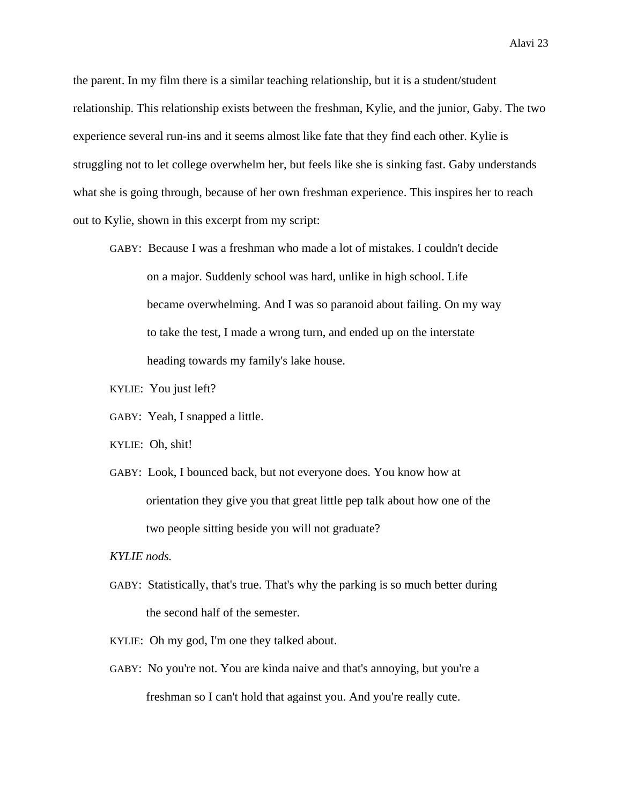the parent. In my film there is a similar teaching relationship, but it is a student/student relationship. This relationship exists between the freshman, Kylie, and the junior, Gaby. The two experience several run-ins and it seems almost like fate that they find each other. Kylie is struggling not to let college overwhelm her, but feels like she is sinking fast. Gaby understands what she is going through, because of her own freshman experience. This inspires her to reach out to Kylie, shown in this excerpt from my script:

- GABY: Because I was a freshman who made a lot of mistakes. I couldn't decide on a major. Suddenly school was hard, unlike in high school. Life became overwhelming. And I was so paranoid about failing. On my way to take the test, I made a wrong turn, and ended up on the interstate heading towards my family's lake house.
- KYLIE: You just left?
- GABY: Yeah, I snapped a little.
- KYLIE: Oh, shit!
- GABY: Look, I bounced back, but not everyone does. You know how at orientation they give you that great little pep talk about how one of the two people sitting beside you will not graduate?

## *KYLIE nods.*

- GABY: Statistically, that's true. That's why the parking is so much better during the second half of the semester.
- KYLIE: Oh my god, I'm one they talked about.
- GABY: No you're not. You are kinda naive and that's annoying, but you're a freshman so I can't hold that against you. And you're really cute.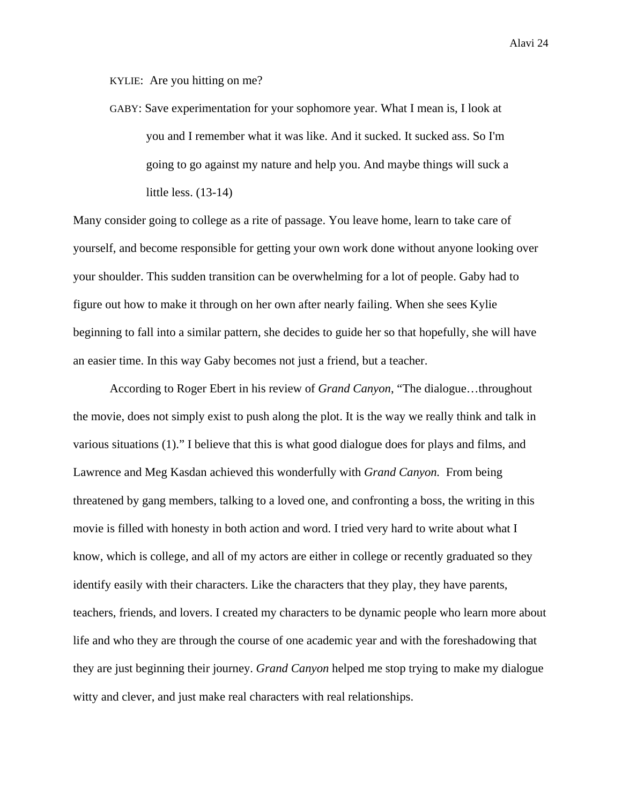KYLIE: Are you hitting on me?

GABY: Save experimentation for your sophomore year. What I mean is, I look at you and I remember what it was like. And it sucked. It sucked ass. So I'm going to go against my nature and help you. And maybe things will suck a little less. (13-14)

Many consider going to college as a rite of passage. You leave home, learn to take care of yourself, and become responsible for getting your own work done without anyone looking over your shoulder. This sudden transition can be overwhelming for a lot of people. Gaby had to figure out how to make it through on her own after nearly failing. When she sees Kylie beginning to fall into a similar pattern, she decides to guide her so that hopefully, she will have an easier time. In this way Gaby becomes not just a friend, but a teacher.

According to Roger Ebert in his review of *Grand Canyon*, "The dialogue…throughout the movie, does not simply exist to push along the plot. It is the way we really think and talk in various situations (1)." I believe that this is what good dialogue does for plays and films, and Lawrence and Meg Kasdan achieved this wonderfully with *Grand Canyon.* From being threatened by gang members, talking to a loved one, and confronting a boss, the writing in this movie is filled with honesty in both action and word. I tried very hard to write about what I know, which is college, and all of my actors are either in college or recently graduated so they identify easily with their characters. Like the characters that they play, they have parents, teachers, friends, and lovers. I created my characters to be dynamic people who learn more about life and who they are through the course of one academic year and with the foreshadowing that they are just beginning their journey. *Grand Canyon* helped me stop trying to make my dialogue witty and clever, and just make real characters with real relationships.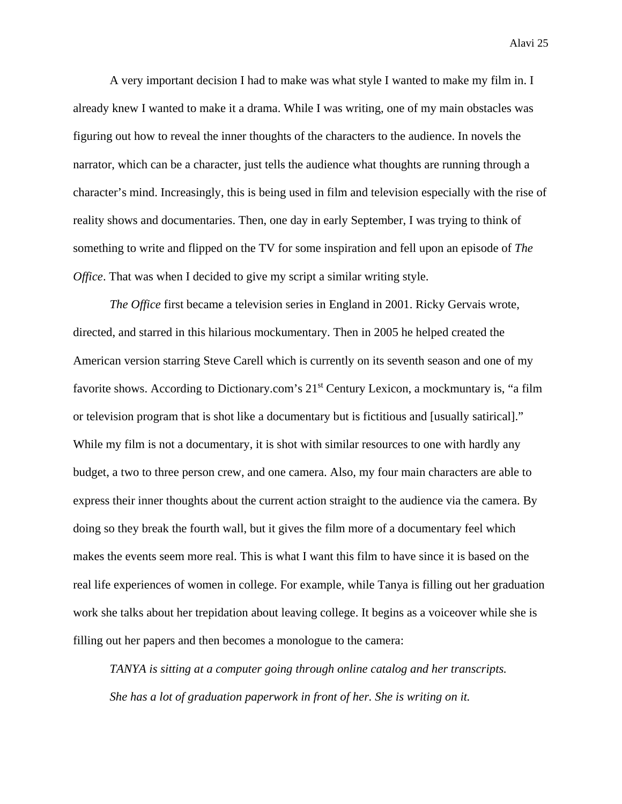A very important decision I had to make was what style I wanted to make my film in. I already knew I wanted to make it a drama. While I was writing, one of my main obstacles was figuring out how to reveal the inner thoughts of the characters to the audience. In novels the narrator, which can be a character, just tells the audience what thoughts are running through a character's mind. Increasingly, this is being used in film and television especially with the rise of reality shows and documentaries. Then, one day in early September, I was trying to think of something to write and flipped on the TV for some inspiration and fell upon an episode of *The Office*. That was when I decided to give my script a similar writing style.

*The Office* first became a television series in England in 2001. Ricky Gervais wrote, directed, and starred in this hilarious mockumentary. Then in 2005 he helped created the American version starring Steve Carell which is currently on its seventh season and one of my favorite shows. According to Dictionary.com's 21<sup>st</sup> Century Lexicon, a mockmuntary is, "a film or television program that is shot like a documentary but is fictitious and [usually satirical]." While my film is not a documentary, it is shot with similar resources to one with hardly any budget, a two to three person crew, and one camera. Also, my four main characters are able to express their inner thoughts about the current action straight to the audience via the camera. By doing so they break the fourth wall, but it gives the film more of a documentary feel which makes the events seem more real. This is what I want this film to have since it is based on the real life experiences of women in college. For example, while Tanya is filling out her graduation work she talks about her trepidation about leaving college. It begins as a voiceover while she is filling out her papers and then becomes a monologue to the camera:

*TANYA is sitting at a computer going through online catalog and her transcripts. She has a lot of graduation paperwork in front of her. She is writing on it.*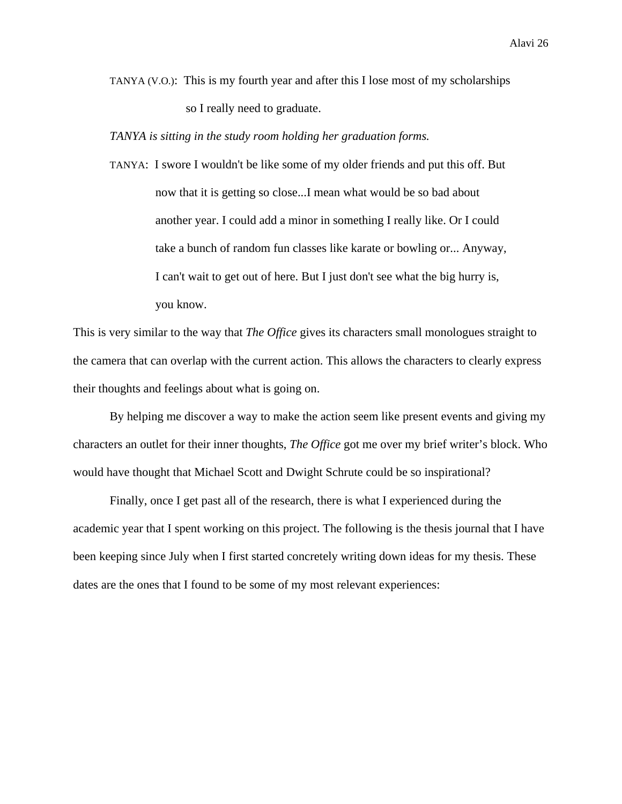TANYA (V.O.): This is my fourth year and after this I lose most of my scholarships so I really need to graduate.

*TANYA is sitting in the study room holding her graduation forms.* 

TANYA: I swore I wouldn't be like some of my older friends and put this off. But now that it is getting so close...I mean what would be so bad about another year. I could add a minor in something I really like. Or I could take a bunch of random fun classes like karate or bowling or... Anyway, I can't wait to get out of here. But I just don't see what the big hurry is, you know.

This is very similar to the way that *The Office* gives its characters small monologues straight to the camera that can overlap with the current action. This allows the characters to clearly express their thoughts and feelings about what is going on.

By helping me discover a way to make the action seem like present events and giving my characters an outlet for their inner thoughts, *The Office* got me over my brief writer's block. Who would have thought that Michael Scott and Dwight Schrute could be so inspirational?

Finally, once I get past all of the research, there is what I experienced during the academic year that I spent working on this project. The following is the thesis journal that I have been keeping since July when I first started concretely writing down ideas for my thesis. These dates are the ones that I found to be some of my most relevant experiences: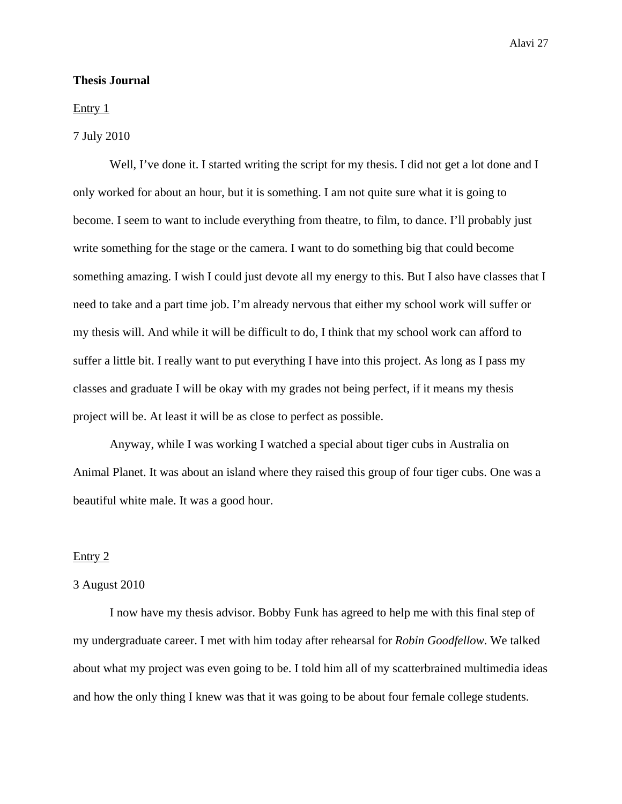## **Thesis Journal**

## Entry 1

## 7 July 2010

Well, I've done it. I started writing the script for my thesis. I did not get a lot done and I only worked for about an hour, but it is something. I am not quite sure what it is going to become. I seem to want to include everything from theatre, to film, to dance. I'll probably just write something for the stage or the camera. I want to do something big that could become something amazing. I wish I could just devote all my energy to this. But I also have classes that I need to take and a part time job. I'm already nervous that either my school work will suffer or my thesis will. And while it will be difficult to do, I think that my school work can afford to suffer a little bit. I really want to put everything I have into this project. As long as I pass my classes and graduate I will be okay with my grades not being perfect, if it means my thesis project will be. At least it will be as close to perfect as possible.

Anyway, while I was working I watched a special about tiger cubs in Australia on Animal Planet. It was about an island where they raised this group of four tiger cubs. One was a beautiful white male. It was a good hour.

#### Entry 2

## 3 August 2010

I now have my thesis advisor. Bobby Funk has agreed to help me with this final step of my undergraduate career. I met with him today after rehearsal for *Robin Goodfellow*. We talked about what my project was even going to be. I told him all of my scatterbrained multimedia ideas and how the only thing I knew was that it was going to be about four female college students.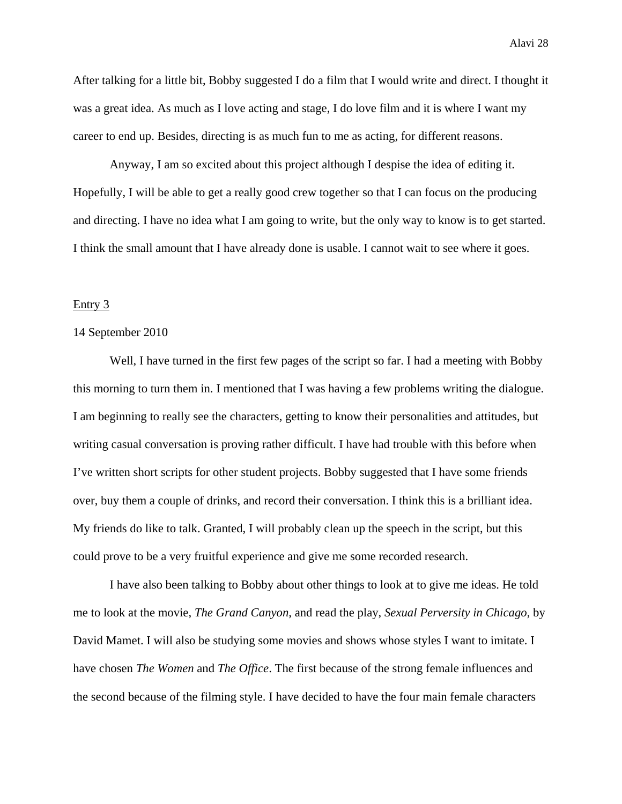After talking for a little bit, Bobby suggested I do a film that I would write and direct. I thought it was a great idea. As much as I love acting and stage, I do love film and it is where I want my career to end up. Besides, directing is as much fun to me as acting, for different reasons.

Anyway, I am so excited about this project although I despise the idea of editing it. Hopefully, I will be able to get a really good crew together so that I can focus on the producing and directing. I have no idea what I am going to write, but the only way to know is to get started. I think the small amount that I have already done is usable. I cannot wait to see where it goes.

## Entry 3

#### 14 September 2010

Well, I have turned in the first few pages of the script so far. I had a meeting with Bobby this morning to turn them in. I mentioned that I was having a few problems writing the dialogue. I am beginning to really see the characters, getting to know their personalities and attitudes, but writing casual conversation is proving rather difficult. I have had trouble with this before when I've written short scripts for other student projects. Bobby suggested that I have some friends over, buy them a couple of drinks, and record their conversation. I think this is a brilliant idea. My friends do like to talk. Granted, I will probably clean up the speech in the script, but this could prove to be a very fruitful experience and give me some recorded research.

I have also been talking to Bobby about other things to look at to give me ideas. He told me to look at the movie, *The Grand Canyon*, and read the play, *Sexual Perversity in Chicago*, by David Mamet. I will also be studying some movies and shows whose styles I want to imitate. I have chosen *The Women* and *The Office*. The first because of the strong female influences and the second because of the filming style. I have decided to have the four main female characters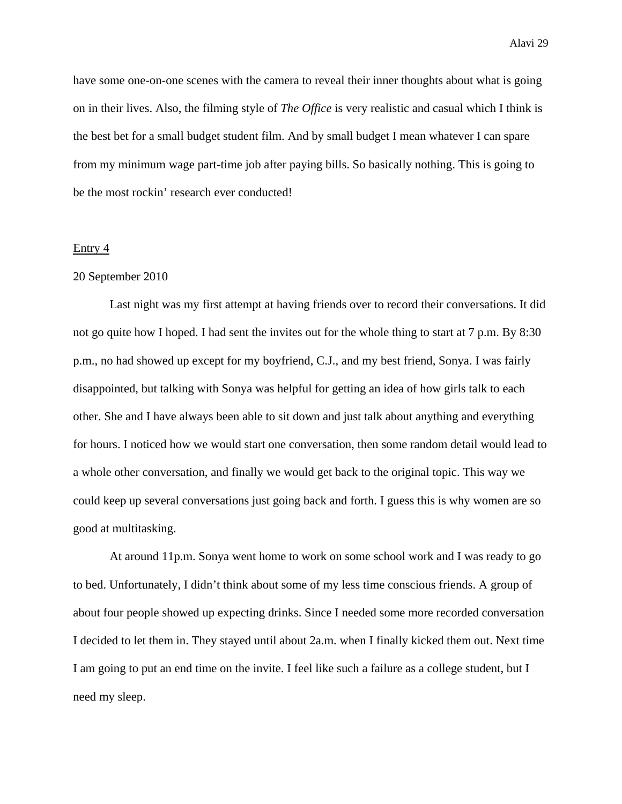have some one-on-one scenes with the camera to reveal their inner thoughts about what is going on in their lives. Also, the filming style of *The Office* is very realistic and casual which I think is the best bet for a small budget student film. And by small budget I mean whatever I can spare from my minimum wage part-time job after paying bills. So basically nothing. This is going to be the most rockin' research ever conducted!

#### Entry 4

### 20 September 2010

Last night was my first attempt at having friends over to record their conversations. It did not go quite how I hoped. I had sent the invites out for the whole thing to start at 7 p.m. By 8:30 p.m., no had showed up except for my boyfriend, C.J., and my best friend, Sonya. I was fairly disappointed, but talking with Sonya was helpful for getting an idea of how girls talk to each other. She and I have always been able to sit down and just talk about anything and everything for hours. I noticed how we would start one conversation, then some random detail would lead to a whole other conversation, and finally we would get back to the original topic. This way we could keep up several conversations just going back and forth. I guess this is why women are so good at multitasking.

 At around 11p.m. Sonya went home to work on some school work and I was ready to go to bed. Unfortunately, I didn't think about some of my less time conscious friends. A group of about four people showed up expecting drinks. Since I needed some more recorded conversation I decided to let them in. They stayed until about 2a.m. when I finally kicked them out. Next time I am going to put an end time on the invite. I feel like such a failure as a college student, but I need my sleep.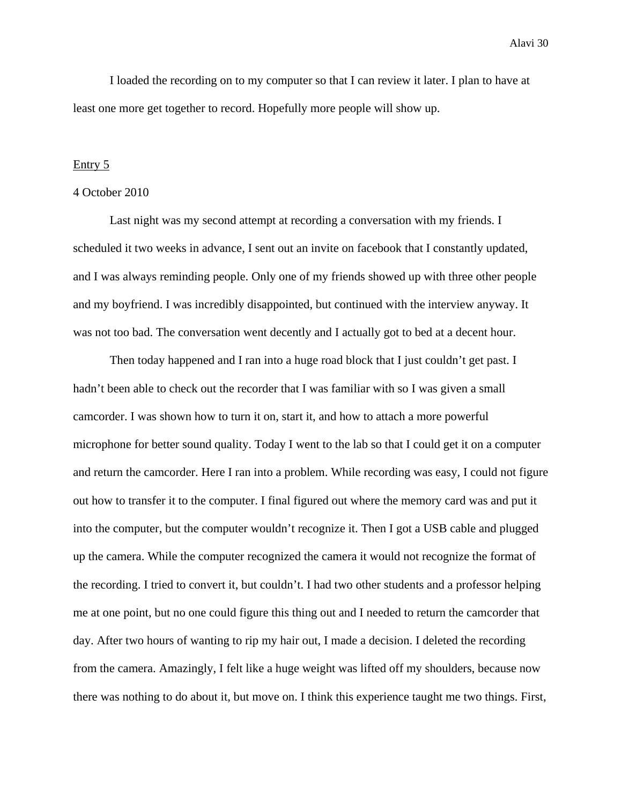I loaded the recording on to my computer so that I can review it later. I plan to have at least one more get together to record. Hopefully more people will show up.

#### Entry 5

#### 4 October 2010

 Last night was my second attempt at recording a conversation with my friends. I scheduled it two weeks in advance, I sent out an invite on facebook that I constantly updated, and I was always reminding people. Only one of my friends showed up with three other people and my boyfriend. I was incredibly disappointed, but continued with the interview anyway. It was not too bad. The conversation went decently and I actually got to bed at a decent hour.

Then today happened and I ran into a huge road block that I just couldn't get past. I hadn't been able to check out the recorder that I was familiar with so I was given a small camcorder. I was shown how to turn it on, start it, and how to attach a more powerful microphone for better sound quality. Today I went to the lab so that I could get it on a computer and return the camcorder. Here I ran into a problem. While recording was easy, I could not figure out how to transfer it to the computer. I final figured out where the memory card was and put it into the computer, but the computer wouldn't recognize it. Then I got a USB cable and plugged up the camera. While the computer recognized the camera it would not recognize the format of the recording. I tried to convert it, but couldn't. I had two other students and a professor helping me at one point, but no one could figure this thing out and I needed to return the camcorder that day. After two hours of wanting to rip my hair out, I made a decision. I deleted the recording from the camera. Amazingly, I felt like a huge weight was lifted off my shoulders, because now there was nothing to do about it, but move on. I think this experience taught me two things. First,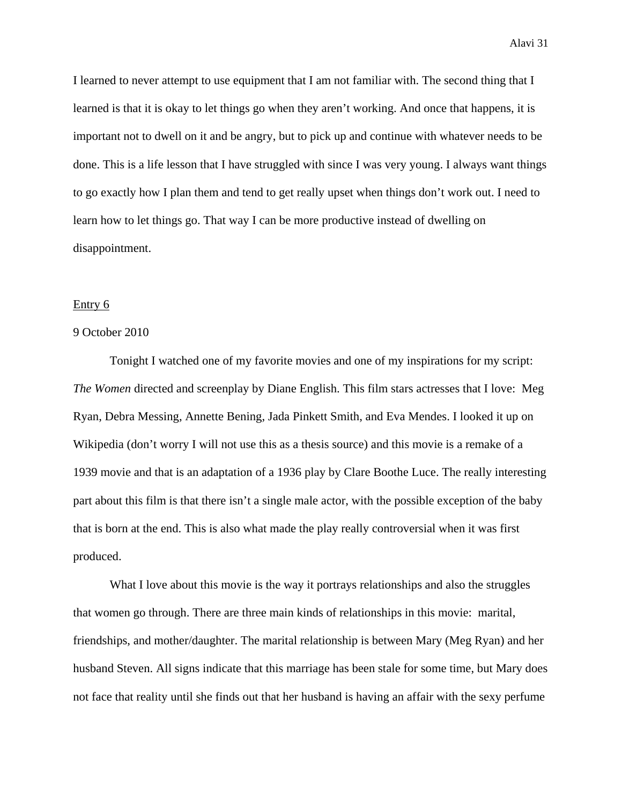I learned to never attempt to use equipment that I am not familiar with. The second thing that I learned is that it is okay to let things go when they aren't working. And once that happens, it is important not to dwell on it and be angry, but to pick up and continue with whatever needs to be done. This is a life lesson that I have struggled with since I was very young. I always want things to go exactly how I plan them and tend to get really upset when things don't work out. I need to learn how to let things go. That way I can be more productive instead of dwelling on disappointment.

#### Entry 6

## 9 October 2010

 Tonight I watched one of my favorite movies and one of my inspirations for my script: *The Women* directed and screenplay by Diane English. This film stars actresses that I love: Meg Ryan, Debra Messing, Annette Bening, Jada Pinkett Smith, and Eva Mendes. I looked it up on Wikipedia (don't worry I will not use this as a thesis source) and this movie is a remake of a 1939 movie and that is an adaptation of a 1936 play by Clare Boothe Luce. The really interesting part about this film is that there isn't a single male actor, with the possible exception of the baby that is born at the end. This is also what made the play really controversial when it was first produced.

What I love about this movie is the way it portrays relationships and also the struggles that women go through. There are three main kinds of relationships in this movie: marital, friendships, and mother/daughter. The marital relationship is between Mary (Meg Ryan) and her husband Steven. All signs indicate that this marriage has been stale for some time, but Mary does not face that reality until she finds out that her husband is having an affair with the sexy perfume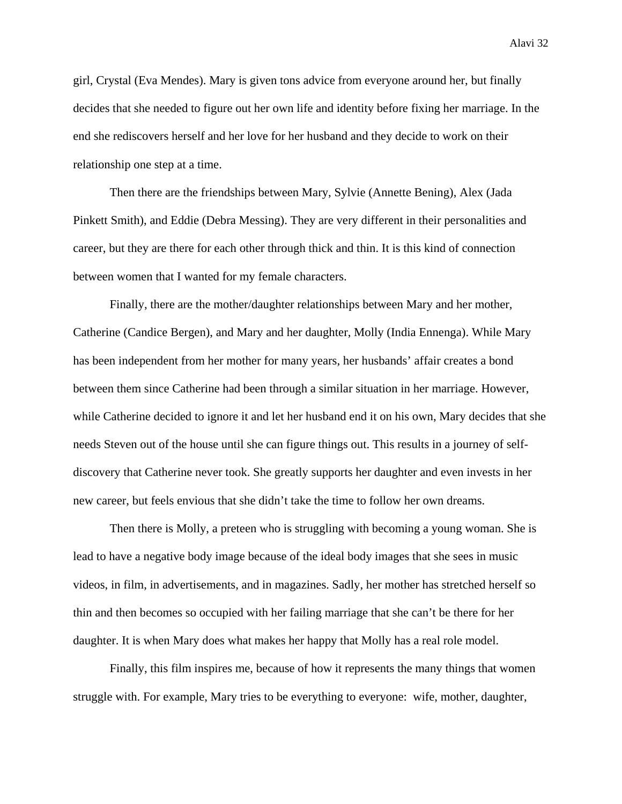girl, Crystal (Eva Mendes). Mary is given tons advice from everyone around her, but finally decides that she needed to figure out her own life and identity before fixing her marriage. In the end she rediscovers herself and her love for her husband and they decide to work on their relationship one step at a time.

 Then there are the friendships between Mary, Sylvie (Annette Bening), Alex (Jada Pinkett Smith), and Eddie (Debra Messing). They are very different in their personalities and career, but they are there for each other through thick and thin. It is this kind of connection between women that I wanted for my female characters.

 Finally, there are the mother/daughter relationships between Mary and her mother, Catherine (Candice Bergen), and Mary and her daughter, Molly (India Ennenga). While Mary has been independent from her mother for many years, her husbands' affair creates a bond between them since Catherine had been through a similar situation in her marriage. However, while Catherine decided to ignore it and let her husband end it on his own, Mary decides that she needs Steven out of the house until she can figure things out. This results in a journey of selfdiscovery that Catherine never took. She greatly supports her daughter and even invests in her new career, but feels envious that she didn't take the time to follow her own dreams.

 Then there is Molly, a preteen who is struggling with becoming a young woman. She is lead to have a negative body image because of the ideal body images that she sees in music videos, in film, in advertisements, and in magazines. Sadly, her mother has stretched herself so thin and then becomes so occupied with her failing marriage that she can't be there for her daughter. It is when Mary does what makes her happy that Molly has a real role model.

 Finally, this film inspires me, because of how it represents the many things that women struggle with. For example, Mary tries to be everything to everyone: wife, mother, daughter,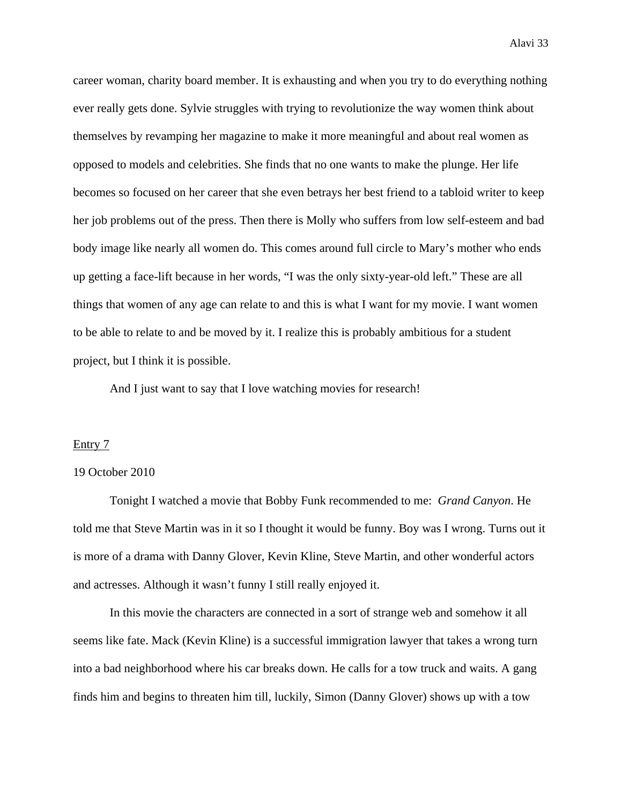career woman, charity board member. It is exhausting and when you try to do everything nothing ever really gets done. Sylvie struggles with trying to revolutionize the way women think about themselves by revamping her magazine to make it more meaningful and about real women as opposed to models and celebrities. She finds that no one wants to make the plunge. Her life becomes so focused on her career that she even betrays her best friend to a tabloid writer to keep her job problems out of the press. Then there is Molly who suffers from low self-esteem and bad body image like nearly all women do. This comes around full circle to Mary's mother who ends up getting a face-lift because in her words, "I was the only sixty-year-old left." These are all things that women of any age can relate to and this is what I want for my movie. I want women to be able to relate to and be moved by it. I realize this is probably ambitious for a student project, but I think it is possible.

And I just want to say that I love watching movies for research!

#### Entry 7

## 19 October 2010

 Tonight I watched a movie that Bobby Funk recommended to me: *Grand Canyon*. He told me that Steve Martin was in it so I thought it would be funny. Boy was I wrong. Turns out it is more of a drama with Danny Glover, Kevin Kline, Steve Martin, and other wonderful actors and actresses. Although it wasn't funny I still really enjoyed it.

 In this movie the characters are connected in a sort of strange web and somehow it all seems like fate. Mack (Kevin Kline) is a successful immigration lawyer that takes a wrong turn into a bad neighborhood where his car breaks down. He calls for a tow truck and waits. A gang finds him and begins to threaten him till, luckily, Simon (Danny Glover) shows up with a tow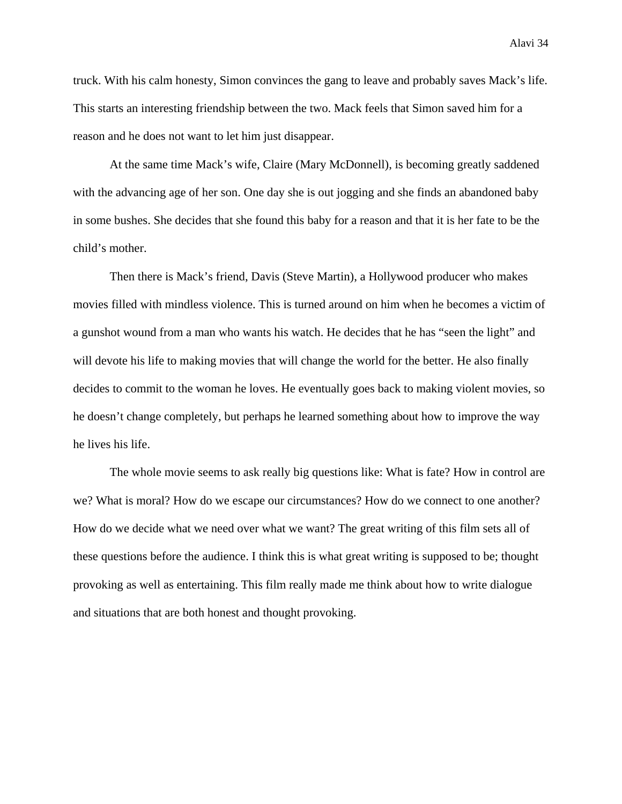truck. With his calm honesty, Simon convinces the gang to leave and probably saves Mack's life. This starts an interesting friendship between the two. Mack feels that Simon saved him for a reason and he does not want to let him just disappear.

 At the same time Mack's wife, Claire (Mary McDonnell), is becoming greatly saddened with the advancing age of her son. One day she is out jogging and she finds an abandoned baby in some bushes. She decides that she found this baby for a reason and that it is her fate to be the child's mother.

 Then there is Mack's friend, Davis (Steve Martin), a Hollywood producer who makes movies filled with mindless violence. This is turned around on him when he becomes a victim of a gunshot wound from a man who wants his watch. He decides that he has "seen the light" and will devote his life to making movies that will change the world for the better. He also finally decides to commit to the woman he loves. He eventually goes back to making violent movies, so he doesn't change completely, but perhaps he learned something about how to improve the way he lives his life.

 The whole movie seems to ask really big questions like: What is fate? How in control are we? What is moral? How do we escape our circumstances? How do we connect to one another? How do we decide what we need over what we want? The great writing of this film sets all of these questions before the audience. I think this is what great writing is supposed to be; thought provoking as well as entertaining. This film really made me think about how to write dialogue and situations that are both honest and thought provoking.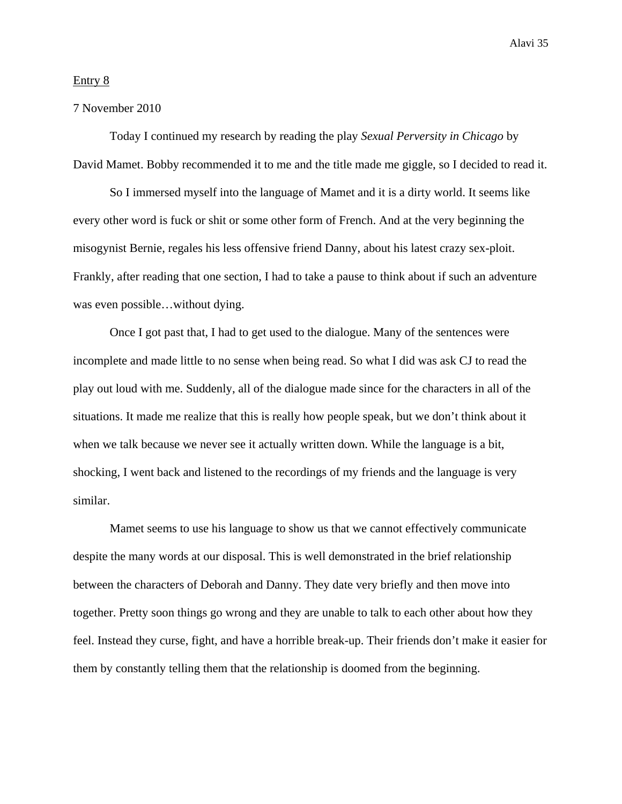## Entry 8

## 7 November 2010

 Today I continued my research by reading the play *Sexual Perversity in Chicago* by David Mamet. Bobby recommended it to me and the title made me giggle, so I decided to read it.

 So I immersed myself into the language of Mamet and it is a dirty world. It seems like every other word is fuck or shit or some other form of French. And at the very beginning the misogynist Bernie, regales his less offensive friend Danny, about his latest crazy sex-ploit. Frankly, after reading that one section, I had to take a pause to think about if such an adventure was even possible…without dying.

 Once I got past that, I had to get used to the dialogue. Many of the sentences were incomplete and made little to no sense when being read. So what I did was ask CJ to read the play out loud with me. Suddenly, all of the dialogue made since for the characters in all of the situations. It made me realize that this is really how people speak, but we don't think about it when we talk because we never see it actually written down. While the language is a bit, shocking, I went back and listened to the recordings of my friends and the language is very similar.

 Mamet seems to use his language to show us that we cannot effectively communicate despite the many words at our disposal. This is well demonstrated in the brief relationship between the characters of Deborah and Danny. They date very briefly and then move into together. Pretty soon things go wrong and they are unable to talk to each other about how they feel. Instead they curse, fight, and have a horrible break-up. Their friends don't make it easier for them by constantly telling them that the relationship is doomed from the beginning.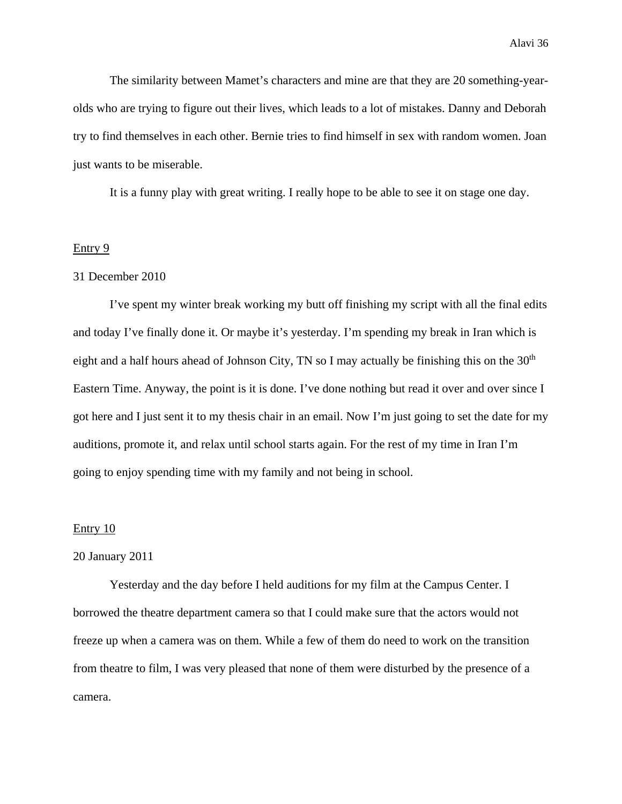The similarity between Mamet's characters and mine are that they are 20 something-yearolds who are trying to figure out their lives, which leads to a lot of mistakes. Danny and Deborah try to find themselves in each other. Bernie tries to find himself in sex with random women. Joan just wants to be miserable.

It is a funny play with great writing. I really hope to be able to see it on stage one day.

#### Entry 9

#### 31 December 2010

 I've spent my winter break working my butt off finishing my script with all the final edits and today I've finally done it. Or maybe it's yesterday. I'm spending my break in Iran which is eight and a half hours ahead of Johnson City, TN so I may actually be finishing this on the  $30<sup>th</sup>$ Eastern Time. Anyway, the point is it is done. I've done nothing but read it over and over since I got here and I just sent it to my thesis chair in an email. Now I'm just going to set the date for my auditions, promote it, and relax until school starts again. For the rest of my time in Iran I'm going to enjoy spending time with my family and not being in school.

#### Entry 10

## 20 January 2011

 Yesterday and the day before I held auditions for my film at the Campus Center. I borrowed the theatre department camera so that I could make sure that the actors would not freeze up when a camera was on them. While a few of them do need to work on the transition from theatre to film, I was very pleased that none of them were disturbed by the presence of a camera.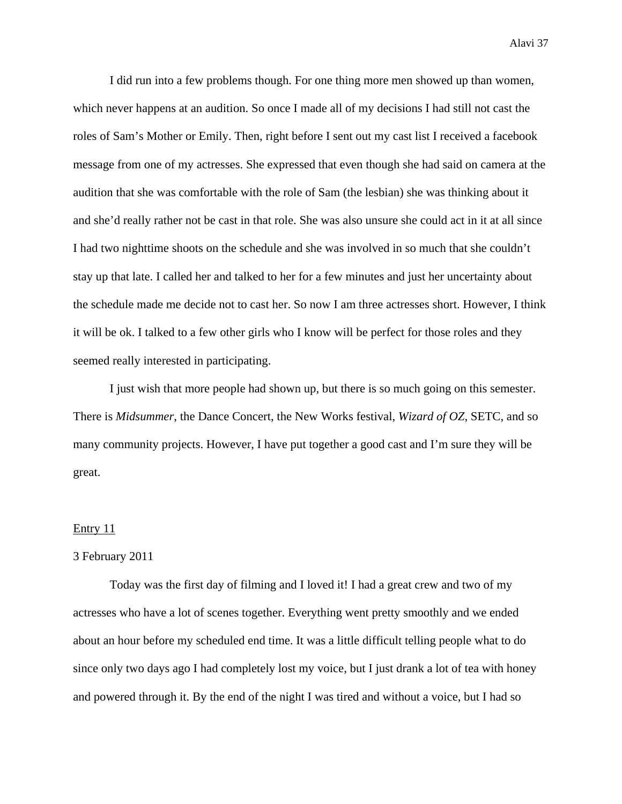I did run into a few problems though. For one thing more men showed up than women, which never happens at an audition. So once I made all of my decisions I had still not cast the roles of Sam's Mother or Emily. Then, right before I sent out my cast list I received a facebook message from one of my actresses. She expressed that even though she had said on camera at the audition that she was comfortable with the role of Sam (the lesbian) she was thinking about it and she'd really rather not be cast in that role. She was also unsure she could act in it at all since I had two nighttime shoots on the schedule and she was involved in so much that she couldn't stay up that late. I called her and talked to her for a few minutes and just her uncertainty about the schedule made me decide not to cast her. So now I am three actresses short. However, I think it will be ok. I talked to a few other girls who I know will be perfect for those roles and they seemed really interested in participating.

 I just wish that more people had shown up, but there is so much going on this semester. There is *Midsummer*, the Dance Concert, the New Works festival, *Wizard of OZ*, SETC, and so many community projects. However, I have put together a good cast and I'm sure they will be great.

#### Entry 11

## 3 February 2011

 Today was the first day of filming and I loved it! I had a great crew and two of my actresses who have a lot of scenes together. Everything went pretty smoothly and we ended about an hour before my scheduled end time. It was a little difficult telling people what to do since only two days ago I had completely lost my voice, but I just drank a lot of tea with honey and powered through it. By the end of the night I was tired and without a voice, but I had so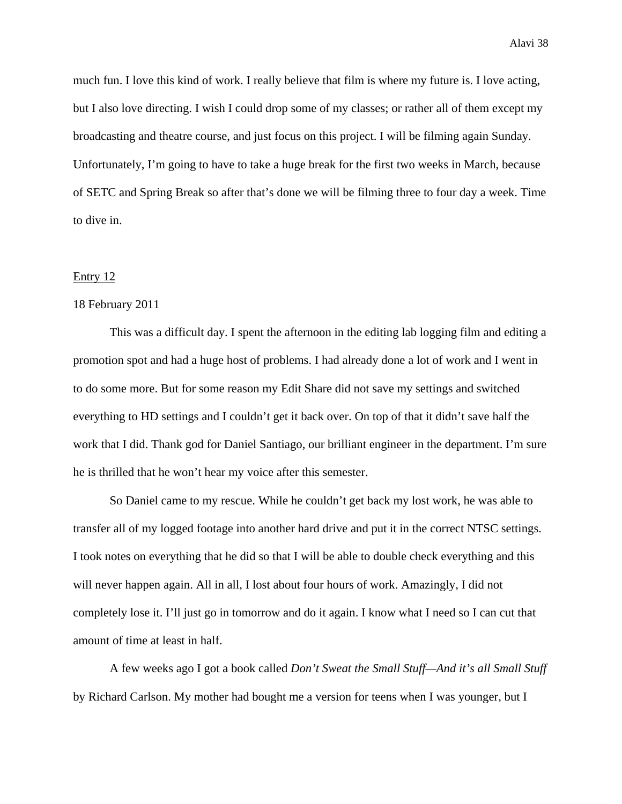much fun. I love this kind of work. I really believe that film is where my future is. I love acting, but I also love directing. I wish I could drop some of my classes; or rather all of them except my broadcasting and theatre course, and just focus on this project. I will be filming again Sunday. Unfortunately, I'm going to have to take a huge break for the first two weeks in March, because of SETC and Spring Break so after that's done we will be filming three to four day a week. Time to dive in.

#### Entry 12

## 18 February 2011

 This was a difficult day. I spent the afternoon in the editing lab logging film and editing a promotion spot and had a huge host of problems. I had already done a lot of work and I went in to do some more. But for some reason my Edit Share did not save my settings and switched everything to HD settings and I couldn't get it back over. On top of that it didn't save half the work that I did. Thank god for Daniel Santiago, our brilliant engineer in the department. I'm sure he is thrilled that he won't hear my voice after this semester.

 So Daniel came to my rescue. While he couldn't get back my lost work, he was able to transfer all of my logged footage into another hard drive and put it in the correct NTSC settings. I took notes on everything that he did so that I will be able to double check everything and this will never happen again. All in all, I lost about four hours of work. Amazingly, I did not completely lose it. I'll just go in tomorrow and do it again. I know what I need so I can cut that amount of time at least in half.

 A few weeks ago I got a book called *Don't Sweat the Small Stuff—And it's all Small Stuff* by Richard Carlson. My mother had bought me a version for teens when I was younger, but I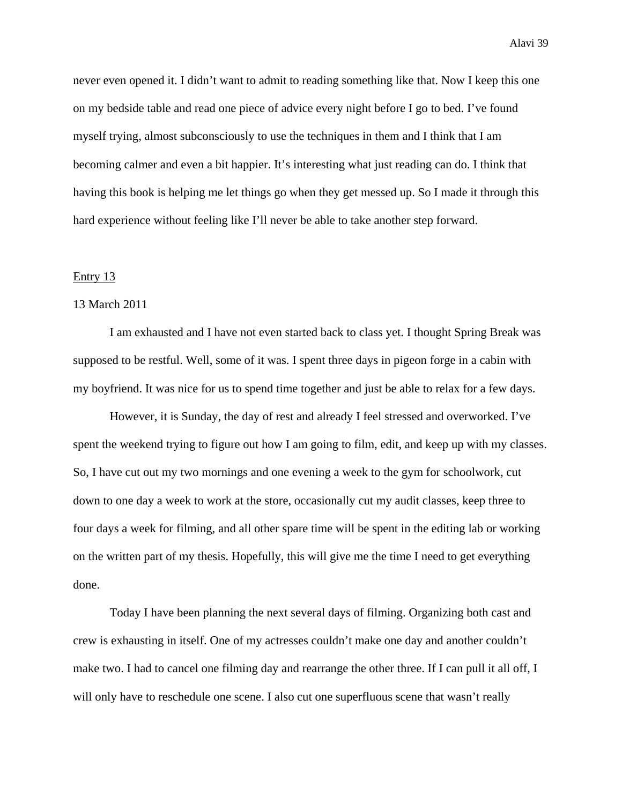never even opened it. I didn't want to admit to reading something like that. Now I keep this one on my bedside table and read one piece of advice every night before I go to bed. I've found myself trying, almost subconsciously to use the techniques in them and I think that I am becoming calmer and even a bit happier. It's interesting what just reading can do. I think that having this book is helping me let things go when they get messed up. So I made it through this hard experience without feeling like I'll never be able to take another step forward.

#### Entry 13

## 13 March 2011

 I am exhausted and I have not even started back to class yet. I thought Spring Break was supposed to be restful. Well, some of it was. I spent three days in pigeon forge in a cabin with my boyfriend. It was nice for us to spend time together and just be able to relax for a few days.

 However, it is Sunday, the day of rest and already I feel stressed and overworked. I've spent the weekend trying to figure out how I am going to film, edit, and keep up with my classes. So, I have cut out my two mornings and one evening a week to the gym for schoolwork, cut down to one day a week to work at the store, occasionally cut my audit classes, keep three to four days a week for filming, and all other spare time will be spent in the editing lab or working on the written part of my thesis. Hopefully, this will give me the time I need to get everything done.

 Today I have been planning the next several days of filming. Organizing both cast and crew is exhausting in itself. One of my actresses couldn't make one day and another couldn't make two. I had to cancel one filming day and rearrange the other three. If I can pull it all off, I will only have to reschedule one scene. I also cut one superfluous scene that wasn't really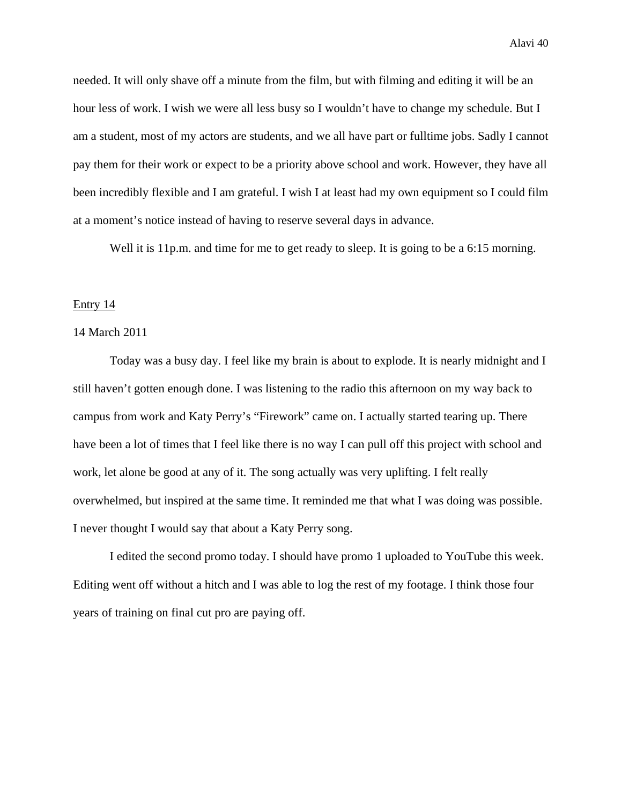needed. It will only shave off a minute from the film, but with filming and editing it will be an hour less of work. I wish we were all less busy so I wouldn't have to change my schedule. But I am a student, most of my actors are students, and we all have part or fulltime jobs. Sadly I cannot pay them for their work or expect to be a priority above school and work. However, they have all been incredibly flexible and I am grateful. I wish I at least had my own equipment so I could film at a moment's notice instead of having to reserve several days in advance.

Well it is 11p.m. and time for me to get ready to sleep. It is going to be a 6:15 morning.

## Entry 14

## 14 March 2011

 Today was a busy day. I feel like my brain is about to explode. It is nearly midnight and I still haven't gotten enough done. I was listening to the radio this afternoon on my way back to campus from work and Katy Perry's "Firework" came on. I actually started tearing up. There have been a lot of times that I feel like there is no way I can pull off this project with school and work, let alone be good at any of it. The song actually was very uplifting. I felt really overwhelmed, but inspired at the same time. It reminded me that what I was doing was possible. I never thought I would say that about a Katy Perry song.

 I edited the second promo today. I should have promo 1 uploaded to YouTube this week. Editing went off without a hitch and I was able to log the rest of my footage. I think those four years of training on final cut pro are paying off.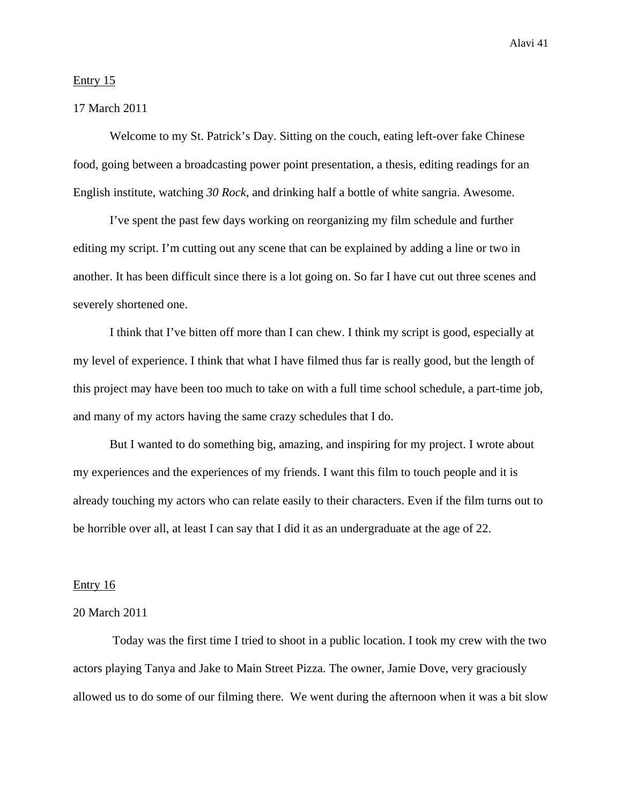## Entry 15

## 17 March 2011

 Welcome to my St. Patrick's Day. Sitting on the couch, eating left-over fake Chinese food, going between a broadcasting power point presentation, a thesis, editing readings for an English institute, watching *30 Rock*, and drinking half a bottle of white sangria. Awesome.

 I've spent the past few days working on reorganizing my film schedule and further editing my script. I'm cutting out any scene that can be explained by adding a line or two in another. It has been difficult since there is a lot going on. So far I have cut out three scenes and severely shortened one.

 I think that I've bitten off more than I can chew. I think my script is good, especially at my level of experience. I think that what I have filmed thus far is really good, but the length of this project may have been too much to take on with a full time school schedule, a part-time job, and many of my actors having the same crazy schedules that I do.

 But I wanted to do something big, amazing, and inspiring for my project. I wrote about my experiences and the experiences of my friends. I want this film to touch people and it is already touching my actors who can relate easily to their characters. Even if the film turns out to be horrible over all, at least I can say that I did it as an undergraduate at the age of 22.

#### Entry 16

## 20 March 2011

 Today was the first time I tried to shoot in a public location. I took my crew with the two actors playing Tanya and Jake to Main Street Pizza. The owner, Jamie Dove, very graciously allowed us to do some of our filming there. We went during the afternoon when it was a bit slow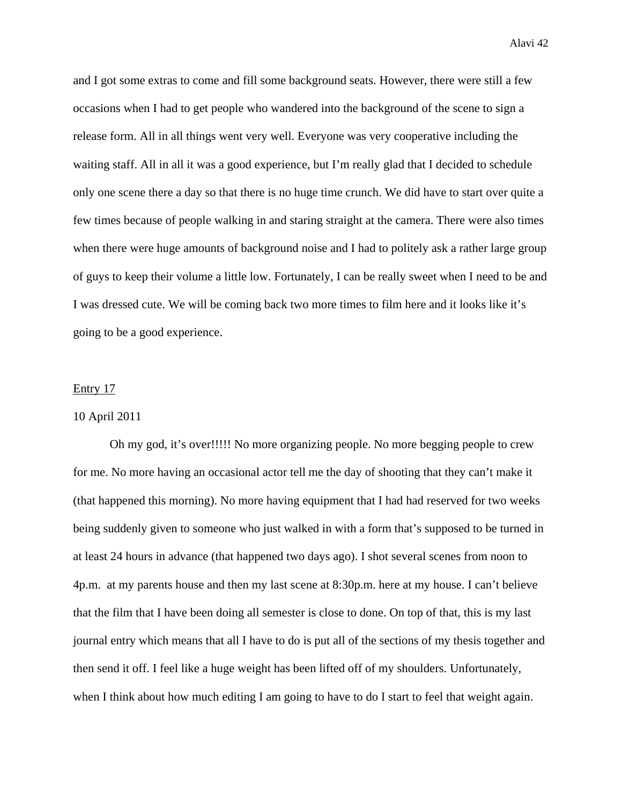and I got some extras to come and fill some background seats. However, there were still a few occasions when I had to get people who wandered into the background of the scene to sign a release form. All in all things went very well. Everyone was very cooperative including the waiting staff. All in all it was a good experience, but I'm really glad that I decided to schedule only one scene there a day so that there is no huge time crunch. We did have to start over quite a few times because of people walking in and staring straight at the camera. There were also times when there were huge amounts of background noise and I had to politely ask a rather large group of guys to keep their volume a little low. Fortunately, I can be really sweet when I need to be and I was dressed cute. We will be coming back two more times to film here and it looks like it's going to be a good experience.

#### Entry 17

## 10 April 2011

 Oh my god, it's over!!!!! No more organizing people. No more begging people to crew for me. No more having an occasional actor tell me the day of shooting that they can't make it (that happened this morning). No more having equipment that I had had reserved for two weeks being suddenly given to someone who just walked in with a form that's supposed to be turned in at least 24 hours in advance (that happened two days ago). I shot several scenes from noon to 4p.m. at my parents house and then my last scene at 8:30p.m. here at my house. I can't believe that the film that I have been doing all semester is close to done. On top of that, this is my last journal entry which means that all I have to do is put all of the sections of my thesis together and then send it off. I feel like a huge weight has been lifted off of my shoulders. Unfortunately, when I think about how much editing I am going to have to do I start to feel that weight again.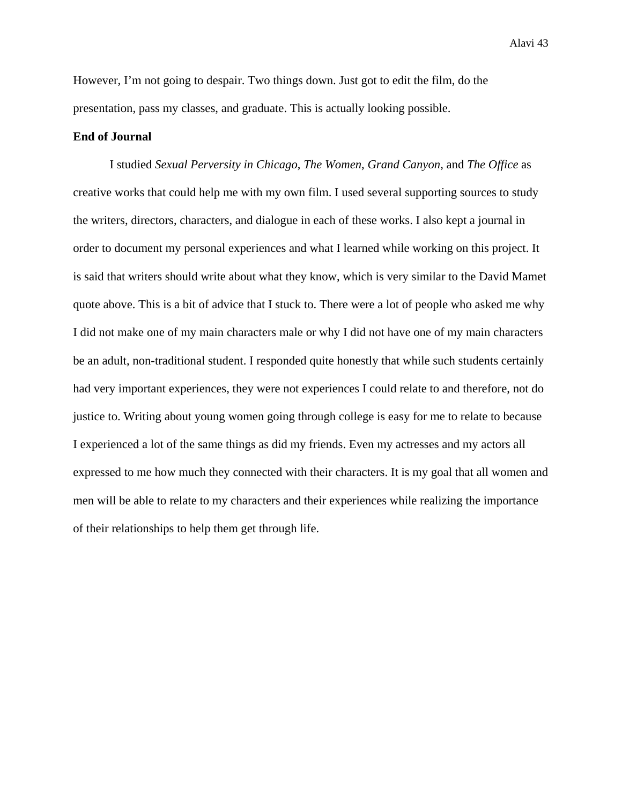However, I'm not going to despair. Two things down. Just got to edit the film, do the presentation, pass my classes, and graduate. This is actually looking possible.

## **End of Journal**

I studied *Sexual Perversity in Chicago*, *The Women*, *Grand Canyon*, and *The Office* as creative works that could help me with my own film. I used several supporting sources to study the writers, directors, characters, and dialogue in each of these works. I also kept a journal in order to document my personal experiences and what I learned while working on this project. It is said that writers should write about what they know, which is very similar to the David Mamet quote above. This is a bit of advice that I stuck to. There were a lot of people who asked me why I did not make one of my main characters male or why I did not have one of my main characters be an adult, non-traditional student. I responded quite honestly that while such students certainly had very important experiences, they were not experiences I could relate to and therefore, not do justice to. Writing about young women going through college is easy for me to relate to because I experienced a lot of the same things as did my friends. Even my actresses and my actors all expressed to me how much they connected with their characters. It is my goal that all women and men will be able to relate to my characters and their experiences while realizing the importance of their relationships to help them get through life.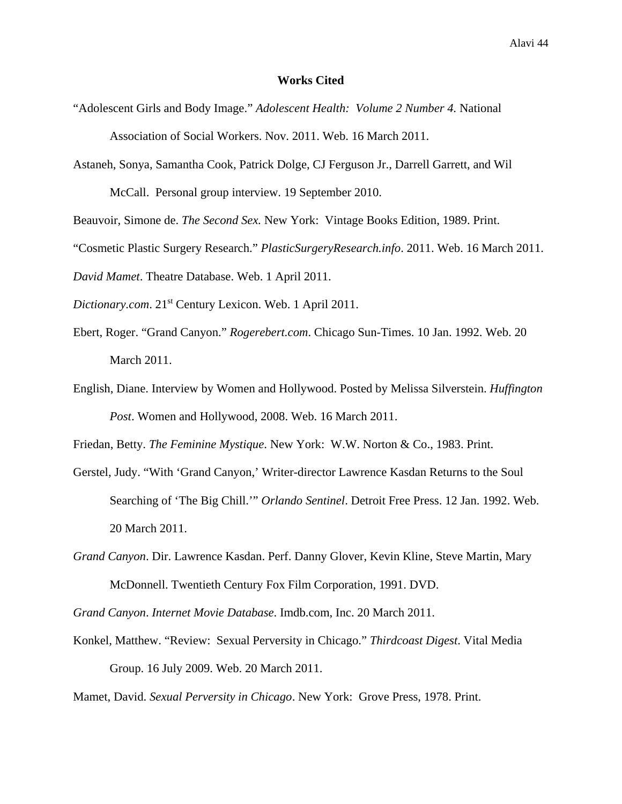### **Works Cited**

- "Adolescent Girls and Body Image." *Adolescent Health: Volume 2 Number 4.* National Association of Social Workers. Nov. 2011. Web. 16 March 2011.
- Astaneh, Sonya, Samantha Cook, Patrick Dolge, CJ Ferguson Jr., Darrell Garrett, and Wil McCall. Personal group interview. 19 September 2010.

Beauvoir, Simone de. *The Second Sex.* New York: Vintage Books Edition, 1989. Print.

"Cosmetic Plastic Surgery Research." *PlasticSurgeryResearch.info*. 2011. Web. 16 March 2011.

*David Mamet*. Theatre Database. Web. 1 April 2011.

*Dictionary.com*. 21st Century Lexicon. Web. 1 April 2011.

- Ebert, Roger. "Grand Canyon." *Rogerebert.com*. Chicago Sun-Times. 10 Jan. 1992. Web. 20 March 2011.
- English, Diane. Interview by Women and Hollywood. Posted by Melissa Silverstein. *Huffington Post*. Women and Hollywood, 2008. Web. 16 March 2011.

Friedan, Betty. *The Feminine Mystique*. New York: W.W. Norton & Co., 1983. Print.

- Gerstel, Judy. "With 'Grand Canyon,' Writer-director Lawrence Kasdan Returns to the Soul Searching of 'The Big Chill.'" *Orlando Sentinel*. Detroit Free Press. 12 Jan. 1992. Web. 20 March 2011.
- *Grand Canyon*. Dir. Lawrence Kasdan. Perf. Danny Glover, Kevin Kline, Steve Martin, Mary McDonnell. Twentieth Century Fox Film Corporation, 1991. DVD.

*Grand Canyon*. *Internet Movie Database*. Imdb.com, Inc. 20 March 2011.

Konkel, Matthew. "Review: Sexual Perversity in Chicago." *Thirdcoast Digest*. Vital Media Group. 16 July 2009. Web. 20 March 2011.

Mamet, David. *Sexual Perversity in Chicago*. New York: Grove Press, 1978. Print.